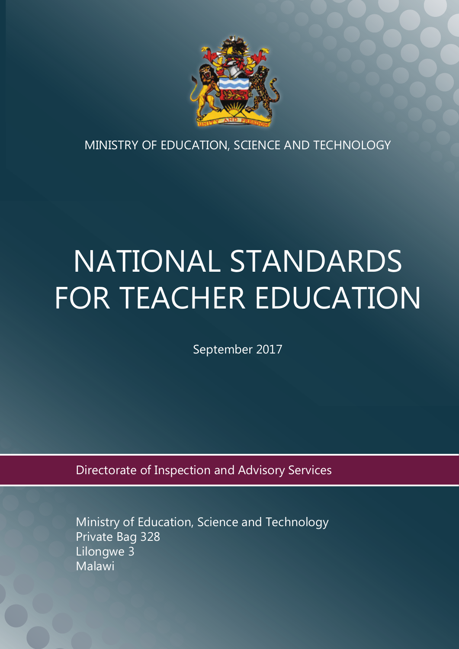

MINISTRY OF EDUCATION, SCIENCE AND TECHNOLOGY

# NATIONAL STANDARDS FOR TEACHER EDUCATION

September 2017

Directorate of Inspection and Advisory Services

Ministry of Education, Science and Technology Private Bag 328 Lilongwe 3 **Malawi**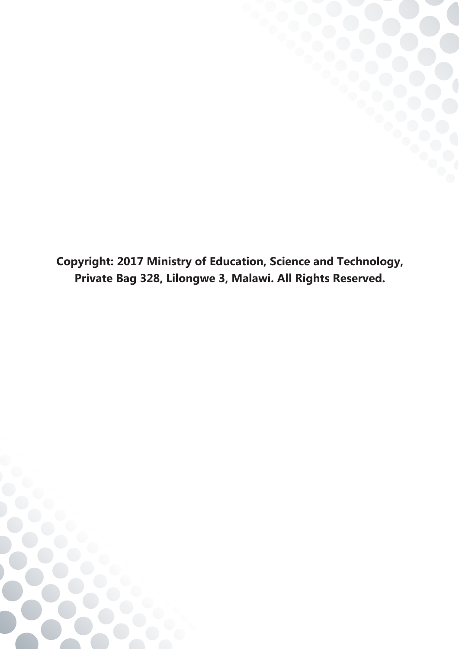**Copyright: 2017 Ministry of Education, Science and Technology, Private Bag 328, Lilongwe 3, Malawi. All Rights Reserved.**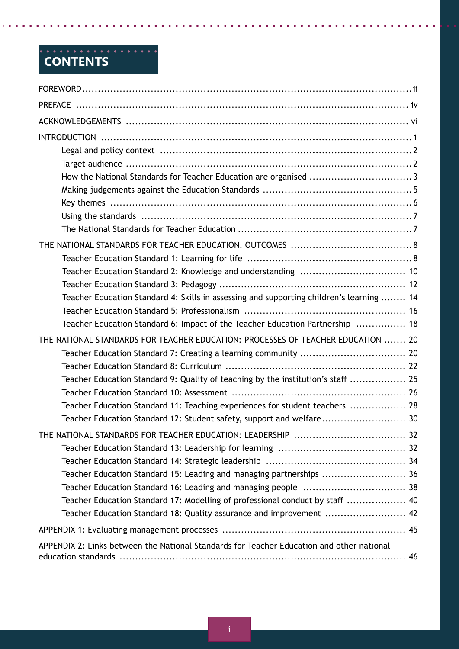# **Contents**

| Teacher Education Standard 4: Skills in assessing and supporting children's learning  14  |  |
|-------------------------------------------------------------------------------------------|--|
|                                                                                           |  |
| Teacher Education Standard 6: Impact of the Teacher Education Partnership  18             |  |
| THE NATIONAL STANDARDS FOR TEACHER EDUCATION: PROCESSES OF TEACHER EDUCATION  20          |  |
|                                                                                           |  |
|                                                                                           |  |
| Teacher Education Standard 9: Quality of teaching by the institution's staff  25          |  |
|                                                                                           |  |
| Teacher Education Standard 11: Teaching experiences for student teachers  28              |  |
| Teacher Education Standard 12: Student safety, support and welfare 30                     |  |
|                                                                                           |  |
|                                                                                           |  |
|                                                                                           |  |
| Teacher Education Standard 15: Leading and managing partnerships  36                      |  |
|                                                                                           |  |
| Teacher Education Standard 17: Modelling of professional conduct by staff  40             |  |
| Teacher Education Standard 18: Quality assurance and improvement  42                      |  |
|                                                                                           |  |
| APPENDIX 2: Links between the National Standards for Teacher Education and other national |  |
|                                                                                           |  |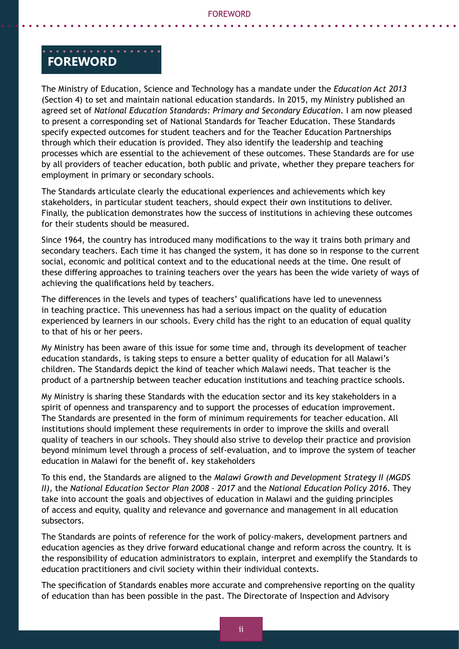#### . . . . . . . . . . . . . . . . . **Foreword**

The Ministry of Education, Science and Technology has a mandate under the *Education Act 2013*  (Section 4) to set and maintain national education standards. In 2015, my Ministry published an agreed set of *National Education Standards: Primary and Secondary Education*. I am now pleased to present a corresponding set of National Standards for Teacher Education. These Standards specify expected outcomes for student teachers and for the Teacher Education Partnerships through which their education is provided. They also identify the leadership and teaching processes which are essential to the achievement of these outcomes. These Standards are for use by all providers of teacher education, both public and private, whether they prepare teachers for employment in primary or secondary schools.

The Standards articulate clearly the educational experiences and achievements which key stakeholders, in particular student teachers, should expect their own institutions to deliver. Finally, the publication demonstrates how the success of institutions in achieving these outcomes for their students should be measured.

Since 1964, the country has introduced many modifications to the way it trains both primary and secondary teachers. Each time it has changed the system, it has done so in response to the current social, economic and political context and to the educational needs at the time. One result of these differing approaches to training teachers over the years has been the wide variety of ways of achieving the qualifications held by teachers.

The differences in the levels and types of teachers' qualifications have led to unevenness in teaching practice. This unevenness has had a serious impact on the quality of education experienced by learners in our schools. Every child has the right to an education of equal quality to that of his or her peers.

My Ministry has been aware of this issue for some time and, through its development of teacher education standards, is taking steps to ensure a better quality of education for all Malawi's children. The Standards depict the kind of teacher which Malawi needs. That teacher is the product of a partnership between teacher education institutions and teaching practice schools.

My Ministry is sharing these Standards with the education sector and its key stakeholders in a spirit of openness and transparency and to support the processes of education improvement. The Standards are presented in the form of minimum requirements for teacher education. All institutions should implement these requirements in order to improve the skills and overall quality of teachers in our schools. They should also strive to develop their practice and provision beyond minimum level through a process of self-evaluation, and to improve the system of teacher education in Malawi for the benefit of. key stakeholders

To this end, the Standards are aligned to the *Malawi Growth and Development Strategy II (MGDS II)*, the *National Education Sector Plan 2008 – 2017* and the *National Education Policy 2016*. They take into account the goals and objectives of education in Malawi and the guiding principles of access and equity, quality and relevance and governance and management in all education subsectors.

The Standards are points of reference for the work of policy-makers, development partners and education agencies as they drive forward educational change and reform across the country. It is the responsibility of education administrators to explain, interpret and exemplify the Standards to education practitioners and civil society within their individual contexts.

The specification of Standards enables more accurate and comprehensive reporting on the quality of education than has been possible in the past. The Directorate of Inspection and Advisory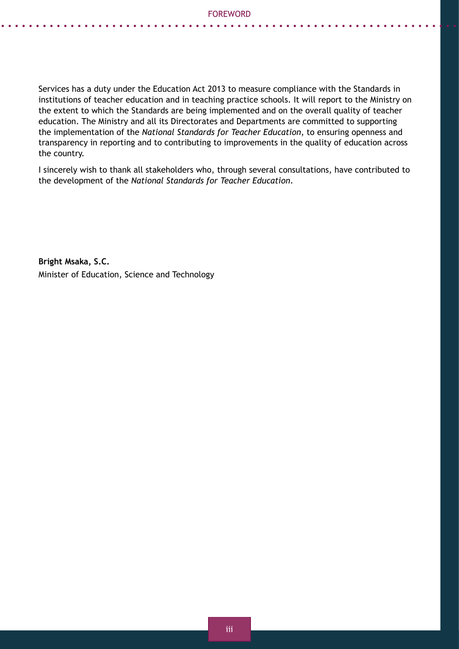Services has a duty under the Education Act 2013 to measure compliance with the Standards in institutions of teacher education and in teaching practice schools. It will report to the Ministry on the extent to which the Standards are being implemented and on the overall quality of teacher education. The Ministry and all its Directorates and Departments are committed to supporting the implementation of the *National Standards for Teacher Education*, to ensuring openness and transparency in reporting and to contributing to improvements in the quality of education across the country.

I sincerely wish to thank all stakeholders who, through several consultations, have contributed to the development of the *National Standards for Teacher Education*.

**Bright Msaka, S.C.** Minister of Education, Science and Technology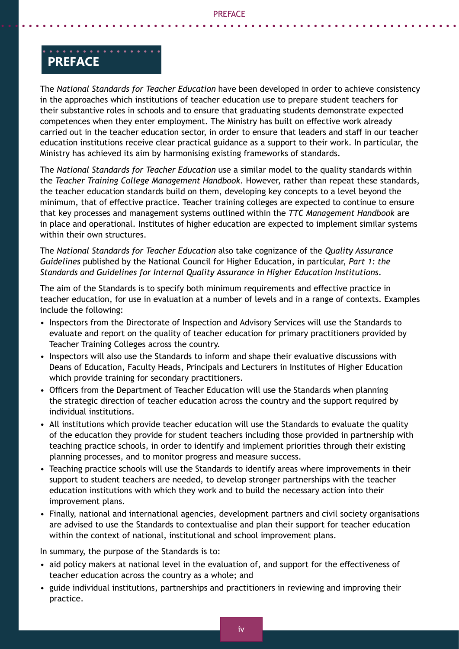### . . . . . . . . . . . . . . . . . **preface**

The *National Standards for Teacher Education* have been developed in order to achieve consistency in the approaches which institutions of teacher education use to prepare student teachers for their substantive roles in schools and to ensure that graduating students demonstrate expected competences when they enter employment. The Ministry has built on effective work already carried out in the teacher education sector, in order to ensure that leaders and staff in our teacher education institutions receive clear practical guidance as a support to their work. In particular, the Ministry has achieved its aim by harmonising existing frameworks of standards.

The *National Standards for Teacher Education* use a similar model to the quality standards within the *Teacher Training College Management Handbook*. However, rather than repeat these standards, the teacher education standards build on them, developing key concepts to a level beyond the minimum, that of effective practice. Teacher training colleges are expected to continue to ensure that key processes and management systems outlined within the *TTC Management Handbook* are in place and operational. Institutes of higher education are expected to implement similar systems within their own structures.

The *National Standards for Teacher Education* also take cognizance of the *Quality Assurance Guidelines* published by the National Council for Higher Education, in particular, *Part 1: the Standards and Guidelines for Internal Quality Assurance in Higher Education Institutions*.

The aim of the Standards is to specify both minimum requirements and effective practice in teacher education, for use in evaluation at a number of levels and in a range of contexts. Examples include the following:

- Inspectors from the Directorate of Inspection and Advisory Services will use the Standards to evaluate and report on the quality of teacher education for primary practitioners provided by Teacher Training Colleges across the country.
- Inspectors will also use the Standards to inform and shape their evaluative discussions with Deans of Education, Faculty Heads, Principals and Lecturers in Institutes of Higher Education which provide training for secondary practitioners.
- Officers from the Department of Teacher Education will use the Standards when planning the strategic direction of teacher education across the country and the support required by individual institutions.
- All institutions which provide teacher education will use the Standards to evaluate the quality of the education they provide for student teachers including those provided in partnership with teaching practice schools, in order to identify and implement priorities through their existing planning processes, and to monitor progress and measure success.
- Teaching practice schools will use the Standards to identify areas where improvements in their support to student teachers are needed, to develop stronger partnerships with the teacher education institutions with which they work and to build the necessary action into their improvement plans.
- Finally, national and international agencies, development partners and civil society organisations are advised to use the Standards to contextualise and plan their support for teacher education within the context of national, institutional and school improvement plans.

In summary, the purpose of the Standards is to:

- aid policy makers at national level in the evaluation of, and support for the effectiveness of teacher education across the country as a whole; and
- guide individual institutions, partnerships and practitioners in reviewing and improving their practice.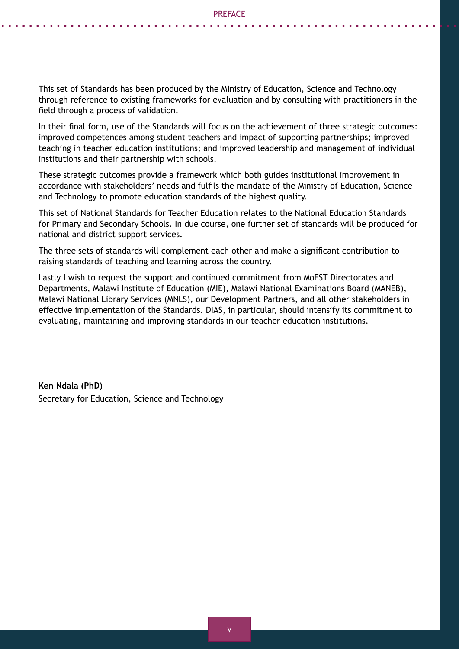This set of Standards has been produced by the Ministry of Education, Science and Technology through reference to existing frameworks for evaluation and by consulting with practitioners in the field through a process of validation.

In their final form, use of the Standards will focus on the achievement of three strategic outcomes: improved competences among student teachers and impact of supporting partnerships; improved teaching in teacher education institutions; and improved leadership and management of individual institutions and their partnership with schools.

These strategic outcomes provide a framework which both guides institutional improvement in accordance with stakeholders' needs and fulfils the mandate of the Ministry of Education, Science and Technology to promote education standards of the highest quality.

This set of National Standards for Teacher Education relates to the National Education Standards for Primary and Secondary Schools. In due course, one further set of standards will be produced for national and district support services.

The three sets of standards will complement each other and make a significant contribution to raising standards of teaching and learning across the country.

Lastly I wish to request the support and continued commitment from MoEST Directorates and Departments, Malawi Institute of Education (MIE), Malawi National Examinations Board (MANEB), Malawi National Library Services (MNLS), our Development Partners, and all other stakeholders in effective implementation of the Standards. DIAS, in particular, should intensify its commitment to evaluating, maintaining and improving standards in our teacher education institutions.

**Ken Ndala (PhD)** Secretary for Education, Science and Technology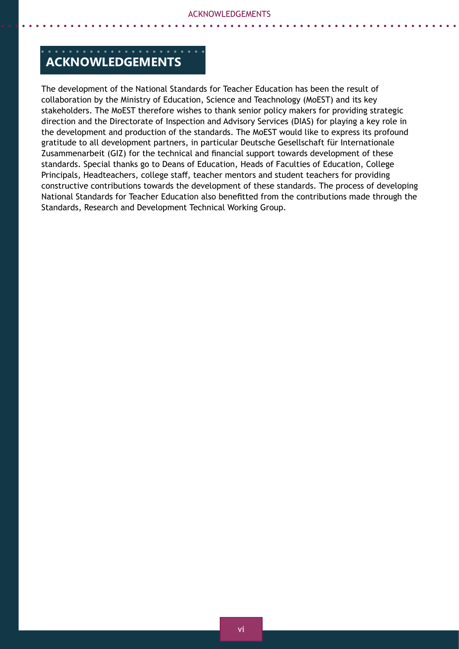# **acknowledgements**

The development of the National Standards for Teacher Education has been the result of collaboration by the Ministry of Education, Science and Teachnology (MoEST) and its key stakeholders. The MoEST therefore wishes to thank senior policy makers for providing strategic direction and the Directorate of Inspection and Advisory Services (DIAS) for playing a key role in the development and production of the standards. The MoEST would like to express its profound gratitude to all development partners, in particular Deutsche Gesellschaft für Internationale Zusammenarbeit (GIZ) for the technical and financial support towards development of these standards. Special thanks go to Deans of Education, Heads of Faculties of Education, College Principals, Headteachers, college staff, teacher mentors and student teachers for providing constructive contributions towards the development of these standards. The process of developing National Standards for Teacher Education also benefitted from the contributions made through the Standards, Research and Development Technical Working Group.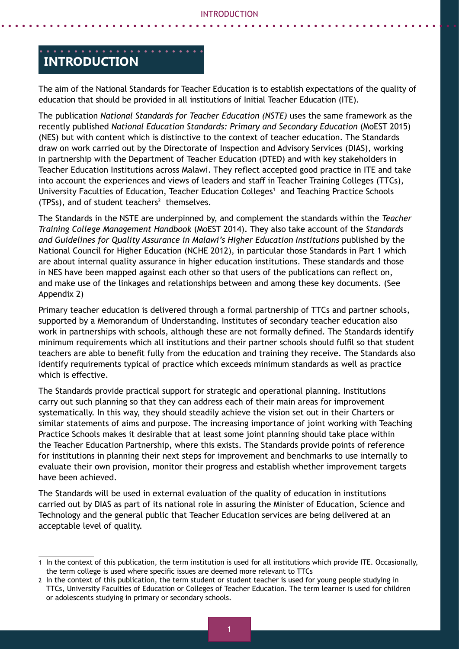#### **Introduction**

The aim of the National Standards for Teacher Education is to establish expectations of the quality of education that should be provided in all institutions of Initial Teacher Education (ITE).

The publication *National Standards for Teacher Education (NSTE)* uses the same framework as the recently published *National Education Standards: Primary and Secondary Education (MoEST 2015)* (NES) but with content which is distinctive to the context of teacher education. The Standards draw on work carried out by the Directorate of Inspection and Advisory Services (DIAS), working in partnership with the Department of Teacher Education (DTED) and with key stakeholders in Teacher Education Institutions across Malawi. They reflect accepted good practice in ITE and take into account the experiences and views of leaders and staff in Teacher Training Colleges (TTCs), University Faculties of Education, Teacher Education Colleges<sup>1</sup> and Teaching Practice Schools  $(TPSs)$ , and of student teachers<sup>2</sup> themselves.

The Standards in the NSTE are underpinned by, and complement the standards within the *Teacher Training College Management Handbook* (MoEST 2014). They also take account of the *Standards and Guidelines for Quality Assurance in Malawi's Higher Education Institutions* published by the National Council for Higher Education (NCHE 2012), in particular those Standards in Part 1 which are about internal quality assurance in higher education institutions. These standards and those in NES have been mapped against each other so that users of the publications can reflect on, and make use of the linkages and relationships between and among these key documents. (See Appendix 2)

Primary teacher education is delivered through a formal partnership of TTCs and partner schools, supported by a Memorandum of Understanding. Institutes of secondary teacher education also work in partnerships with schools, although these are not formally defined. The Standards identify minimum requirements which all institutions and their partner schools should fulfil so that student teachers are able to benefit fully from the education and training they receive. The Standards also identify requirements typical of practice which exceeds minimum standards as well as practice which is effective.

The Standards provide practical support for strategic and operational planning. Institutions carry out such planning so that they can address each of their main areas for improvement systematically. In this way, they should steadily achieve the vision set out in their Charters or similar statements of aims and purpose. The increasing importance of joint working with Teaching Practice Schools makes it desirable that at least some joint planning should take place within the Teacher Education Partnership, where this exists. The Standards provide points of reference for institutions in planning their next steps for improvement and benchmarks to use internally to evaluate their own provision, monitor their progress and establish whether improvement targets have been achieved.

The Standards will be used in external evaluation of the quality of education in institutions carried out by DIAS as part of its national role in assuring the Minister of Education, Science and Technology and the general public that Teacher Education services are being delivered at an acceptable level of quality.

<sup>1</sup> In the context of this publication, the term institution is used for all institutions which provide ITE. Occasionally, the term college is used where specific issues are deemed more relevant to TTCs

<sup>2</sup> In the context of this publication, the term student or student teacher is used for young people studying in TTCs, University Faculties of Education or Colleges of Teacher Education. The term learner is used for children or adolescents studying in primary or secondary schools.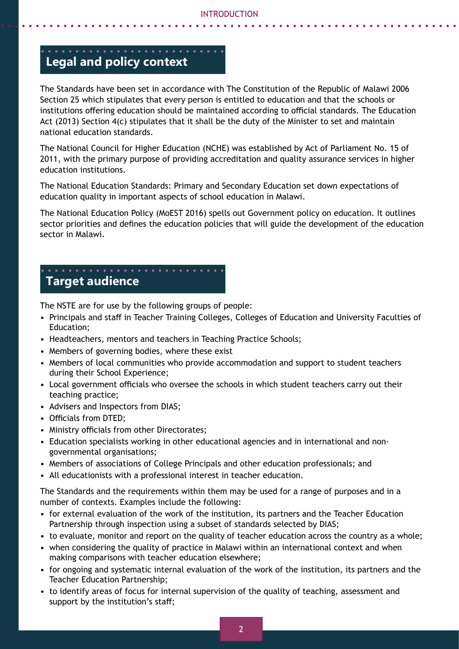# **Legal and policy context**

The Standards have been set in accordance with The Constitution of the Republic of Malawi 2006 Section 25 which stipulates that every person is entitled to education and that the schools or institutions offering education should be maintained according to official standards. The Education Act (2013) Section 4(c) stipulates that it shall be the duty of the Minister to set and maintain national education standards.

The National Council for Higher Education (NCHE) was established by Act of Parliament No. 15 of 2011, with the primary purpose of providing accreditation and quality assurance services in higher education institutions.

The National Education Standards: Primary and Secondary Education set down expectations of education quality in important aspects of school education in Malawi.

The National Education Policy (MoEST 2016) spells out Government policy on education. It outlines sector priorities and defines the education policies that will guide the development of the education sector in Malawi.

# **Target audience**

The NSTE are for use by the following groups of people:

- Principals and staff in Teacher Training Colleges, Colleges of Education and University Faculties of Education;
- Headteachers, mentors and teachers in Teaching Practice Schools;
- Members of governing bodies, where these exist
- Members of local communities who provide accommodation and support to student teachers during their School Experience;
- Local government officials who oversee the schools in which student teachers carry out their teaching practice;
- Advisers and Inspectors from DIAS;
- Officials from DTED;
- Ministry officials from other Directorates;
- Education specialists working in other educational agencies and in international and nongovernmental organisations;
- Members of associations of College Principals and other education professionals; and
- All educationists with a professional interest in teacher education.

The Standards and the requirements within them may be used for a range of purposes and in a number of contexts. Examples include the following:

- for external evaluation of the work of the institution, its partners and the Teacher Education Partnership through inspection using a subset of standards selected by DIAS;
- to evaluate, monitor and report on the quality of teacher education across the country as a whole;
- when considering the quality of practice in Malawi within an international context and when making comparisons with teacher education elsewhere;
- for ongoing and systematic internal evaluation of the work of the institution, its partners and the Teacher Education Partnership;
- to identify areas of focus for internal supervision of the quality of teaching, assessment and support by the institution's staff;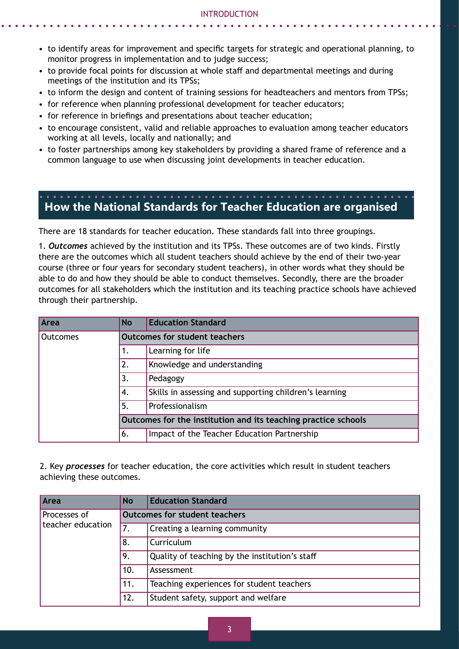- to identify areas for improvement and specific targets for strategic and operational planning, to monitor progress in implementation and to judge success;
- to provide focal points for discussion at whole staff and departmental meetings and during meetings of the institution and its TPSs;
- to inform the design and content of training sessions for headteachers and mentors from TPSs;
- for reference when planning professional development for teacher educators;
- for reference in briefings and presentations about teacher education;
- to encourage consistent, valid and reliable approaches to evaluation among teacher educators working at all levels, locally and nationally; and
- to foster partnerships among key stakeholders by providing a shared frame of reference and a common language to use when discussing joint developments in teacher education.

# **How the National Standards for Teacher Education are organised**

There are 18 standards for teacher education. These standards fall into three groupings.

1. *Outcomes* achieved by the institution and its TPSs. These outcomes are of two kinds. Firstly there are the outcomes which all student teachers should achieve by the end of their two-year course (three or four years for secondary student teachers), in other words what they should be able to do and how they should be able to conduct themselves. Secondly, there are the broader outcomes for all stakeholders which the institution and its teaching practice schools have achieved through their partnership.

| Area     | <b>No</b> | <b>Education Standard</b>                                      |
|----------|-----------|----------------------------------------------------------------|
| Outcomes |           | <b>Outcomes for student teachers</b>                           |
|          |           | Learning for life                                              |
|          | 2.        | Knowledge and understanding                                    |
|          | 3.        | Pedagogy                                                       |
|          | 4.        | Skills in assessing and supporting children's learning         |
|          | 5.        | Professionalism                                                |
|          |           | Outcomes for the institution and its teaching practice schools |
|          | 6.        | Impact of the Teacher Education Partnership                    |

2. Key *processes* for teacher education, the core activities which result in student teachers achieving these outcomes.

| Area              | <b>No</b> | <b>Education Standard</b>                      |
|-------------------|-----------|------------------------------------------------|
| Processes of      |           | <b>Outcomes for student teachers</b>           |
| teacher education |           | Creating a learning community                  |
|                   | 8.        | Curriculum                                     |
|                   | 9.        | Quality of teaching by the institution's staff |
|                   | 10.       | Assessment                                     |
|                   | 11.       | Teaching experiences for student teachers      |
|                   | 12.       | Student safety, support and welfare            |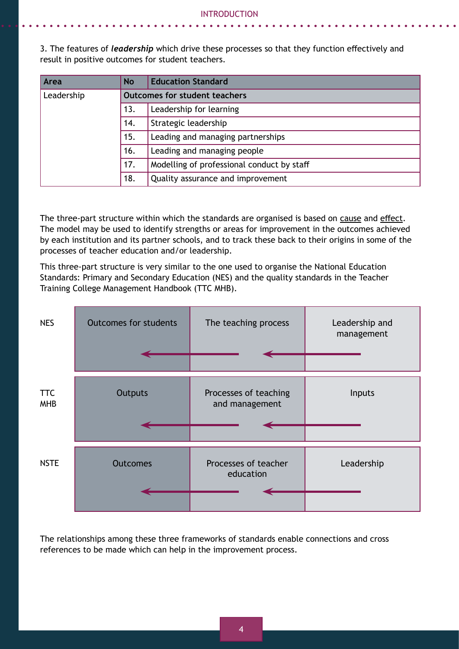3. The features of *leadership* which drive these processes so that they function effectively and result in positive outcomes for student teachers.

| Area       | <b>No</b> | <b>Education Standard</b>                  |
|------------|-----------|--------------------------------------------|
| Leadership |           | <b>Outcomes for student teachers</b>       |
|            | 13.       | Leadership for learning                    |
|            | 14.       | Strategic leadership                       |
|            | 15.       | Leading and managing partnerships          |
|            | 16.       | Leading and managing people                |
|            | 17.       | Modelling of professional conduct by staff |
|            | 18.       | Quality assurance and improvement          |

The three-part structure within which the standards are organised is based on cause and effect. The model may be used to identify strengths or areas for improvement in the outcomes achieved by each institution and its partner schools, and to track these back to their origins in some of the processes of teacher education and/or leadership.

This three-part structure is very similar to the one used to organise the National Education Standards: Primary and Secondary Education (NES) and the quality standards in the Teacher Training College Management Handbook (TTC MHB).

| <b>NES</b>               | <b>Outcomes for students</b> | The teaching process                    | Leadership and<br>management |
|--------------------------|------------------------------|-----------------------------------------|------------------------------|
|                          |                              |                                         |                              |
| <b>TTC</b><br><b>MHB</b> | Outputs                      | Processes of teaching<br>and management | Inputs                       |
|                          |                              |                                         |                              |
| <b>NSTE</b>              | <b>Outcomes</b>              | Processes of teacher<br>education       | Leadership                   |
|                          |                              |                                         |                              |

The relationships among these three frameworks of standards enable connections and cross references to be made which can help in the improvement process.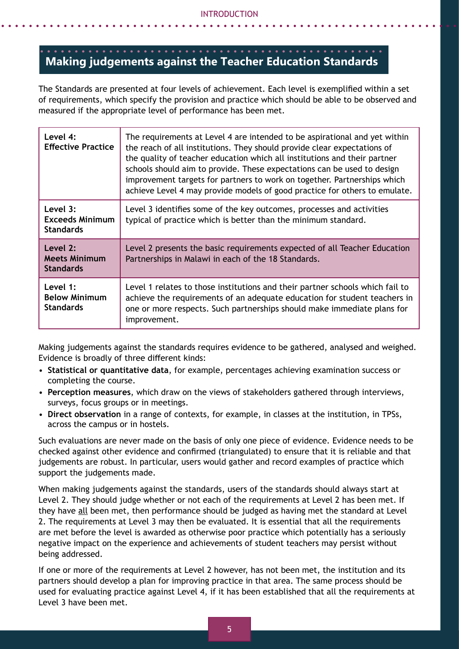#### **Making judgements against the Teacher Education Standards**

The Standards are presented at four levels of achievement. Each level is exemplified within a set of requirements, which specify the provision and practice which should be able to be observed and measured if the appropriate level of performance has been met.

| Level 4:<br><b>Effective Practice</b>                  | The requirements at Level 4 are intended to be aspirational and yet within<br>the reach of all institutions. They should provide clear expectations of<br>the quality of teacher education which all institutions and their partner<br>schools should aim to provide. These expectations can be used to design<br>improvement targets for partners to work on together. Partnerships which<br>achieve Level 4 may provide models of good practice for others to emulate. |
|--------------------------------------------------------|--------------------------------------------------------------------------------------------------------------------------------------------------------------------------------------------------------------------------------------------------------------------------------------------------------------------------------------------------------------------------------------------------------------------------------------------------------------------------|
| Level 3:<br><b>Exceeds Minimum</b><br><b>Standards</b> | Level 3 identifies some of the key outcomes, processes and activities<br>typical of practice which is better than the minimum standard.                                                                                                                                                                                                                                                                                                                                  |
| Level 2:<br><b>Meets Minimum</b><br><b>Standards</b>   | Level 2 presents the basic requirements expected of all Teacher Education<br>Partnerships in Malawi in each of the 18 Standards.                                                                                                                                                                                                                                                                                                                                         |
| Level 1:<br><b>Below Minimum</b><br><b>Standards</b>   | Level 1 relates to those institutions and their partner schools which fail to<br>achieve the requirements of an adequate education for student teachers in<br>one or more respects. Such partnerships should make immediate plans for<br>improvement.                                                                                                                                                                                                                    |

Making judgements against the standards requires evidence to be gathered, analysed and weighed. Evidence is broadly of three different kinds:

- **Statistical or quantitative data**, for example, percentages achieving examination success or completing the course.
- **Perception measures**, which draw on the views of stakeholders gathered through interviews, surveys, focus groups or in meetings.
- **Direct observation** in a range of contexts, for example, in classes at the institution, in TPSs, across the campus or in hostels.

Such evaluations are never made on the basis of only one piece of evidence. Evidence needs to be checked against other evidence and confirmed (triangulated) to ensure that it is reliable and that judgements are robust. In particular, users would gather and record examples of practice which support the judgements made.

When making judgements against the standards, users of the standards should always start at Level 2. They should judge whether or not each of the requirements at Level 2 has been met. If they have all been met, then performance should be judged as having met the standard at Level 2. The requirements at Level 3 may then be evaluated. It is essential that all the requirements are met before the level is awarded as otherwise poor practice which potentially has a seriously negative impact on the experience and achievements of student teachers may persist without being addressed.

If one or more of the requirements at Level 2 however, has not been met, the institution and its partners should develop a plan for improving practice in that area. The same process should be used for evaluating practice against Level 4, if it has been established that all the requirements at Level 3 have been met.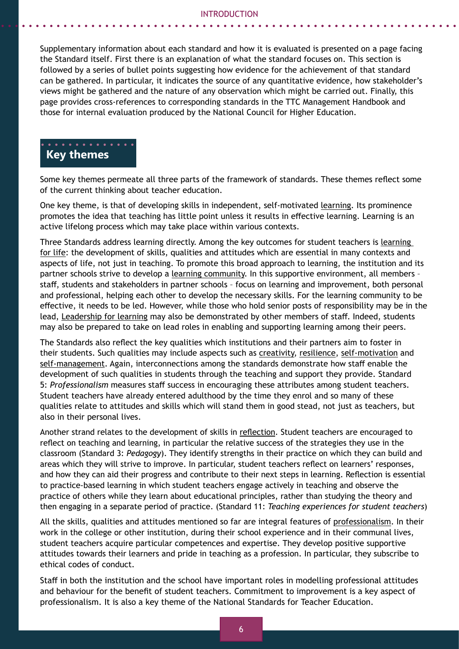Supplementary information about each standard and how it is evaluated is presented on a page facing the Standard itself. First there is an explanation of what the standard focuses on. This section is followed by a series of bullet points suggesting how evidence for the achievement of that standard can be gathered. In particular, it indicates the source of any quantitative evidence, how stakeholder's views might be gathered and the nature of any observation which might be carried out. Finally, this page provides cross-references to corresponding standards in the TTC Management Handbook and those for internal evaluation produced by the National Council for Higher Education.

#### **Key themes**

Some key themes permeate all three parts of the framework of standards. These themes reflect some of the current thinking about teacher education.

One key theme, is that of developing skills in independent, self-motivated learning. Its prominence promotes the idea that teaching has little point unless it results in effective learning. Learning is an active lifelong process which may take place within various contexts.

Three Standards address learning directly. Among the key outcomes for student teachers is learning for life: the development of skills, qualities and attitudes which are essential in many contexts and aspects of life, not just in teaching. To promote this broad approach to learning, the institution and its partner schools strive to develop a learning community. In this supportive environment, all members – staff, students and stakeholders in partner schools – focus on learning and improvement, both personal and professional, helping each other to develop the necessary skills. For the learning community to be effective, it needs to be led. However, while those who hold senior posts of responsibility may be in the lead, Leadership for learning may also be demonstrated by other members of staff. Indeed, students may also be prepared to take on lead roles in enabling and supporting learning among their peers.

The Standards also reflect the key qualities which institutions and their partners aim to foster in their students. Such qualities may include aspects such as creativity, resilience, self-motivation and self-management. Again, interconnections among the standards demonstrate how staff enable the development of such qualities in students through the teaching and support they provide. Standard 5: *Professionalism* measures staff success in encouraging these attributes among student teachers. Student teachers have already entered adulthood by the time they enrol and so many of these qualities relate to attitudes and skills which will stand them in good stead, not just as teachers, but also in their personal lives.

Another strand relates to the development of skills in reflection. Student teachers are encouraged to reflect on teaching and learning, in particular the relative success of the strategies they use in the classroom (Standard 3: *Pedagogy*). They identify strengths in their practice on which they can build and areas which they will strive to improve. In particular, student teachers reflect on learners' responses, and how they can aid their progress and contribute to their next steps in learning. Reflection is essential to practice-based learning in which student teachers engage actively in teaching and observe the practice of others while they learn about educational principles, rather than studying the theory and then engaging in a separate period of practice. (Standard 11: *Teaching experiences for student teachers*)

All the skills, qualities and attitudes mentioned so far are integral features of professionalism. In their work in the college or other institution, during their school experience and in their communal lives, student teachers acquire particular competences and expertise. They develop positive supportive attitudes towards their learners and pride in teaching as a profession. In particular, they subscribe to ethical codes of conduct.

Staff in both the institution and the school have important roles in modelling professional attitudes and behaviour for the benefit of student teachers. Commitment to improvement is a key aspect of professionalism. It is also a key theme of the National Standards for Teacher Education.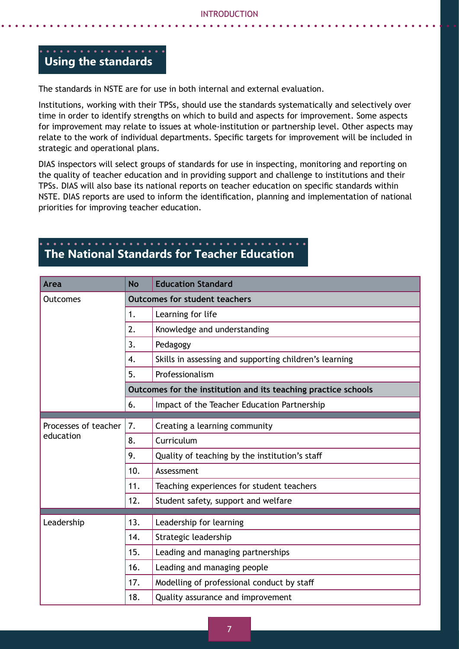# **Using the standards**

The standards in NSTE are for use in both internal and external evaluation.

Institutions, working with their TPSs, should use the standards systematically and selectively over time in order to identify strengths on which to build and aspects for improvement. Some aspects for improvement may relate to issues at whole-institution or partnership level. Other aspects may relate to the work of individual departments. Specific targets for improvement will be included in strategic and operational plans.

DIAS inspectors will select groups of standards for use in inspecting, monitoring and reporting on the quality of teacher education and in providing support and challenge to institutions and their TPSs. DIAS will also base its national reports on teacher education on specific standards within NSTE. DIAS reports are used to inform the identification, planning and implementation of national priorities for improving teacher education.

# **The National Standards for Teacher Education**

| Area                              | <b>No</b>                            | <b>Education Standard</b>                                      |  |
|-----------------------------------|--------------------------------------|----------------------------------------------------------------|--|
| Outcomes                          | <b>Outcomes for student teachers</b> |                                                                |  |
|                                   | 1.                                   | Learning for life                                              |  |
|                                   | 2.                                   | Knowledge and understanding                                    |  |
|                                   | 3.                                   | Pedagogy                                                       |  |
|                                   | 4.                                   | Skills in assessing and supporting children's learning         |  |
|                                   | 5.                                   | Professionalism                                                |  |
|                                   |                                      | Outcomes for the institution and its teaching practice schools |  |
|                                   | 6.                                   | Impact of the Teacher Education Partnership                    |  |
|                                   |                                      |                                                                |  |
| Processes of teacher<br>education | 7.                                   | Creating a learning community                                  |  |
|                                   | 8.                                   | Curriculum                                                     |  |
|                                   | 9.                                   | Quality of teaching by the institution's staff                 |  |
|                                   | 10.                                  | Assessment                                                     |  |
|                                   | 11.                                  | Teaching experiences for student teachers                      |  |
|                                   | 12.                                  | Student safety, support and welfare                            |  |
|                                   |                                      |                                                                |  |
| Leadership                        | 13.                                  | Leadership for learning                                        |  |
|                                   | 14.                                  | Strategic leadership                                           |  |
|                                   | 15.                                  | Leading and managing partnerships                              |  |
|                                   | 16.                                  | Leading and managing people                                    |  |
|                                   | 17.                                  | Modelling of professional conduct by staff                     |  |
|                                   | 18.                                  | Quality assurance and improvement                              |  |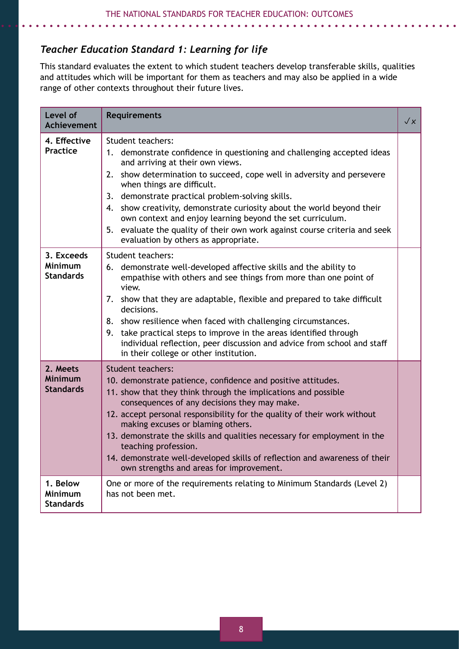# *Teacher Education Standard 1: Learning for life*

This standard evaluates the extent to which student teachers develop transferable skills, qualities and attitudes which will be important for them as teachers and may also be applied in a wide range of other contexts throughout their future lives.

| Level of<br><b>Achievement</b>                   | <b>Requirements</b>                                                                                                                                                                                                                                                                                                                                                                                                                                                                                                                                                   | $\sqrt{x}$ |
|--------------------------------------------------|-----------------------------------------------------------------------------------------------------------------------------------------------------------------------------------------------------------------------------------------------------------------------------------------------------------------------------------------------------------------------------------------------------------------------------------------------------------------------------------------------------------------------------------------------------------------------|------------|
| 4. Effective<br><b>Practice</b>                  | Student teachers:<br>demonstrate confidence in questioning and challenging accepted ideas<br>1.<br>and arriving at their own views.<br>show determination to succeed, cope well in adversity and persevere<br>2.<br>when things are difficult.<br>3. demonstrate practical problem-solving skills.<br>show creativity, demonstrate curiosity about the world beyond their<br>4.<br>own context and enjoy learning beyond the set curriculum.<br>evaluate the quality of their own work against course criteria and seek<br>5.<br>evaluation by others as appropriate. |            |
| 3. Exceeds<br><b>Minimum</b><br><b>Standards</b> | Student teachers:<br>6. demonstrate well-developed affective skills and the ability to<br>empathise with others and see things from more than one point of<br>view.<br>7. show that they are adaptable, flexible and prepared to take difficult<br>decisions.<br>8. show resilience when faced with challenging circumstances.<br>take practical steps to improve in the areas identified through<br>9.<br>individual reflection, peer discussion and advice from school and staff<br>in their college or other institution.                                          |            |
| 2. Meets<br><b>Minimum</b><br><b>Standards</b>   | <b>Student teachers:</b><br>10. demonstrate patience, confidence and positive attitudes.<br>11. show that they think through the implications and possible<br>consequences of any decisions they may make.<br>12. accept personal responsibility for the quality of their work without<br>making excuses or blaming others.<br>13. demonstrate the skills and qualities necessary for employment in the<br>teaching profession.<br>14. demonstrate well-developed skills of reflection and awareness of their<br>own strengths and areas for improvement.             |            |
| 1. Below<br>Minimum<br><b>Standards</b>          | One or more of the requirements relating to Minimum Standards (Level 2)<br>has not been met.                                                                                                                                                                                                                                                                                                                                                                                                                                                                          |            |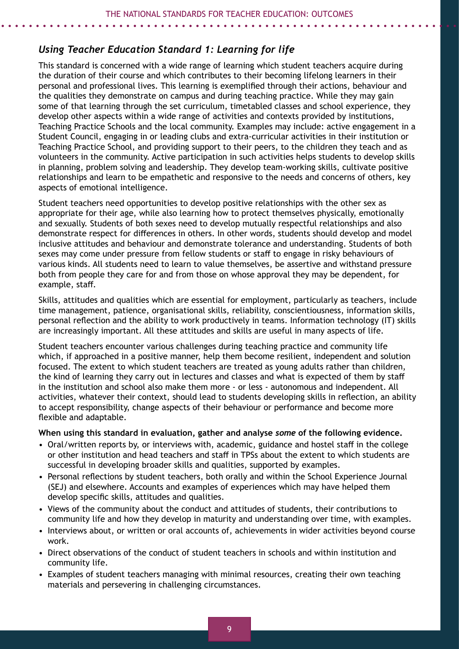# *Using Teacher Education Standard 1: Learning for life*

This standard is concerned with a wide range of learning which student teachers acquire during the duration of their course and which contributes to their becoming lifelong learners in their personal and professional lives. This learning is exemplified through their actions, behaviour and the qualities they demonstrate on campus and during teaching practice. While they may gain some of that learning through the set curriculum, timetabled classes and school experience, they develop other aspects within a wide range of activities and contexts provided by institutions, Teaching Practice Schools and the local community. Examples may include: active engagement in a Student Council, engaging in or leading clubs and extra-curricular activities in their institution or Teaching Practice School, and providing support to their peers, to the children they teach and as volunteers in the community. Active participation in such activities helps students to develop skills in planning, problem solving and leadership. They develop team-working skills, cultivate positive relationships and learn to be empathetic and responsive to the needs and concerns of others, key aspects of emotional intelligence.

Student teachers need opportunities to develop positive relationships with the other sex as appropriate for their age, while also learning how to protect themselves physically, emotionally and sexually. Students of both sexes need to develop mutually respectful relationships and also demonstrate respect for differences in others. In other words, students should develop and model inclusive attitudes and behaviour and demonstrate tolerance and understanding. Students of both sexes may come under pressure from fellow students or staff to engage in risky behaviours of various kinds. All students need to learn to value themselves, be assertive and withstand pressure both from people they care for and from those on whose approval they may be dependent, for example, staff.

Skills, attitudes and qualities which are essential for employment, particularly as teachers, include time management, patience, organisational skills, reliability, conscientiousness, information skills, personal reflection and the ability to work productively in teams. Information technology (IT) skills are increasingly important. All these attitudes and skills are useful in many aspects of life.

Student teachers encounter various challenges during teaching practice and community life which, if approached in a positive manner, help them become resilient, independent and solution focused. The extent to which student teachers are treated as young adults rather than children, the kind of learning they carry out in lectures and classes and what is expected of them by staff in the institution and school also make them more - or less - autonomous and independent. All activities, whatever their context, should lead to students developing skills in reflection, an ability to accept responsibility, change aspects of their behaviour or performance and become more flexible and adaptable.

#### **When using this standard in evaluation, gather and analyse** *some* **of the following evidence.**

- Oral/written reports by, or interviews with, academic, guidance and hostel staff in the college or other institution and head teachers and staff in TPSs about the extent to which students are successful in developing broader skills and qualities, supported by examples.
- Personal reflections by student teachers, both orally and within the School Experience Journal (SEJ) and elsewhere. Accounts and examples of experiences which may have helped them develop specific skills, attitudes and qualities.
- Views of the community about the conduct and attitudes of students, their contributions to community life and how they develop in maturity and understanding over time, with examples.
- Interviews about, or written or oral accounts of, achievements in wider activities beyond course work.
- Direct observations of the conduct of student teachers in schools and within institution and community life.
- Examples of student teachers managing with minimal resources, creating their own teaching materials and persevering in challenging circumstances.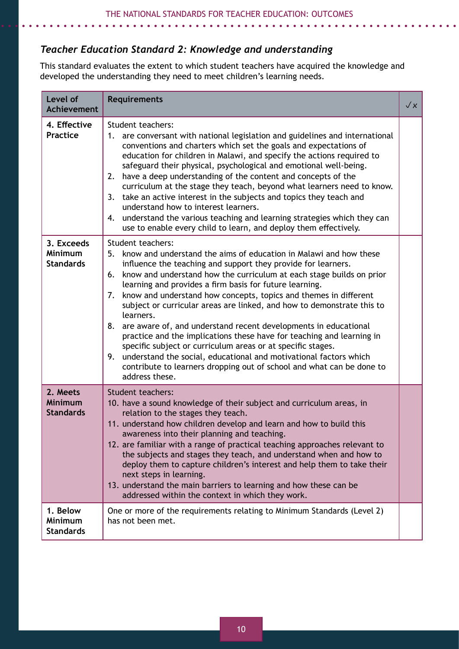# *Teacher Education Standard 2: Knowledge and understanding*

This standard evaluates the extent to which student teachers have acquired the knowledge and developed the understanding they need to meet children's learning needs.

| Level of<br><b>Achievement</b>                   | <b>Requirements</b>                                                                                                                                                                                                                                                                                                                                                                                                                                                                                                                                                                                                                                                                                                                                                                                                                                            | $\sqrt{x}$ |
|--------------------------------------------------|----------------------------------------------------------------------------------------------------------------------------------------------------------------------------------------------------------------------------------------------------------------------------------------------------------------------------------------------------------------------------------------------------------------------------------------------------------------------------------------------------------------------------------------------------------------------------------------------------------------------------------------------------------------------------------------------------------------------------------------------------------------------------------------------------------------------------------------------------------------|------------|
| 4. Effective<br><b>Practice</b>                  | Student teachers:<br>1. are conversant with national legislation and guidelines and international<br>conventions and charters which set the goals and expectations of<br>education for children in Malawi, and specify the actions required to<br>safeguard their physical, psychological and emotional well-being.<br>have a deep understanding of the content and concepts of the<br>2.<br>curriculum at the stage they teach, beyond what learners need to know.<br>take an active interest in the subjects and topics they teach and<br>3.<br>understand how to interest learners.<br>understand the various teaching and learning strategies which they can<br>4.<br>use to enable every child to learn, and deploy them effectively.                                                                                                                     |            |
| 3. Exceeds<br><b>Minimum</b><br><b>Standards</b> | Student teachers:<br>know and understand the aims of education in Malawi and how these<br>5.<br>influence the teaching and support they provide for learners.<br>know and understand how the curriculum at each stage builds on prior<br>6.<br>learning and provides a firm basis for future learning.<br>know and understand how concepts, topics and themes in different<br>7.<br>subject or curricular areas are linked, and how to demonstrate this to<br>learners.<br>are aware of, and understand recent developments in educational<br>8.<br>practice and the implications these have for teaching and learning in<br>specific subject or curriculum areas or at specific stages.<br>understand the social, educational and motivational factors which<br>9.<br>contribute to learners dropping out of school and what can be done to<br>address these. |            |
| 2. Meets<br><b>Minimum</b><br><b>Standards</b>   | <b>Student teachers:</b><br>10. have a sound knowledge of their subject and curriculum areas, in<br>relation to the stages they teach.<br>11. understand how children develop and learn and how to build this<br>awareness into their planning and teaching.<br>12. are familiar with a range of practical teaching approaches relevant to<br>the subjects and stages they teach, and understand when and how to<br>deploy them to capture children's interest and help them to take their<br>next steps in learning.<br>13. understand the main barriers to learning and how these can be<br>addressed within the context in which they work.                                                                                                                                                                                                                 |            |
| 1. Below<br><b>Minimum</b><br><b>Standards</b>   | One or more of the requirements relating to Minimum Standards (Level 2)<br>has not been met.                                                                                                                                                                                                                                                                                                                                                                                                                                                                                                                                                                                                                                                                                                                                                                   |            |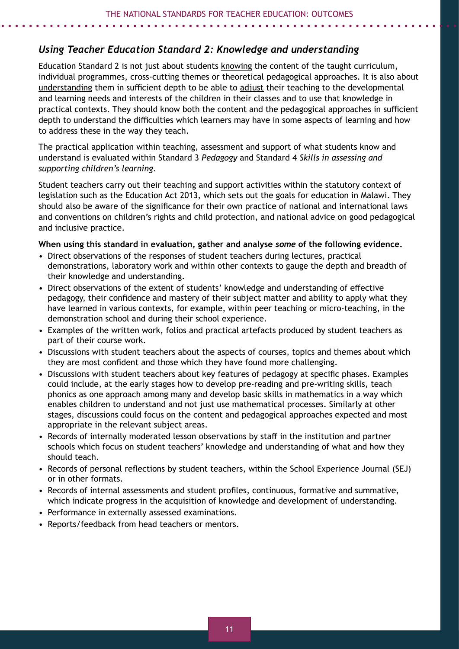# *Using Teacher Education Standard 2: Knowledge and understanding*

Education Standard 2 is not just about students knowing the content of the taught curriculum, individual programmes, cross-cutting themes or theoretical pedagogical approaches. It is also about understanding them in sufficient depth to be able to adjust their teaching to the developmental and learning needs and interests of the children in their classes and to use that knowledge in practical contexts. They should know both the content and the pedagogical approaches in sufficient depth to understand the difficulties which learners may have in some aspects of learning and how to address these in the way they teach.

The practical application within teaching, assessment and support of what students know and understand is evaluated within Standard 3 *Pedagogy* and Standard 4 *Skills in assessing and supporting children's learning*.

Student teachers carry out their teaching and support activities within the statutory context of legislation such as the Education Act 2013, which sets out the goals for education in Malawi. They should also be aware of the significance for their own practice of national and international laws and conventions on children's rights and child protection, and national advice on good pedagogical and inclusive practice.

#### **When using this standard in evaluation, gather and analyse** *some* **of the following evidence.**

- Direct observations of the responses of student teachers during lectures, practical demonstrations, laboratory work and within other contexts to gauge the depth and breadth of their knowledge and understanding.
- Direct observations of the extent of students' knowledge and understanding of effective pedagogy, their confidence and mastery of their subject matter and ability to apply what they have learned in various contexts, for example, within peer teaching or micro-teaching, in the demonstration school and during their school experience.
- Examples of the written work, folios and practical artefacts produced by student teachers as part of their course work.
- Discussions with student teachers about the aspects of courses, topics and themes about which they are most confident and those which they have found more challenging.
- Discussions with student teachers about key features of pedagogy at specific phases. Examples could include, at the early stages how to develop pre-reading and pre-writing skills, teach phonics as one approach among many and develop basic skills in mathematics in a way which enables children to understand and not just use mathematical processes. Similarly at other stages, discussions could focus on the content and pedagogical approaches expected and most appropriate in the relevant subject areas.
- Records of internally moderated lesson observations by staff in the institution and partner schools which focus on student teachers' knowledge and understanding of what and how they should teach.
- Records of personal reflections by student teachers, within the School Experience Journal (SEJ) or in other formats.
- Records of internal assessments and student profiles, continuous, formative and summative, which indicate progress in the acquisition of knowledge and development of understanding.
- Performance in externally assessed examinations.
- Reports/feedback from head teachers or mentors.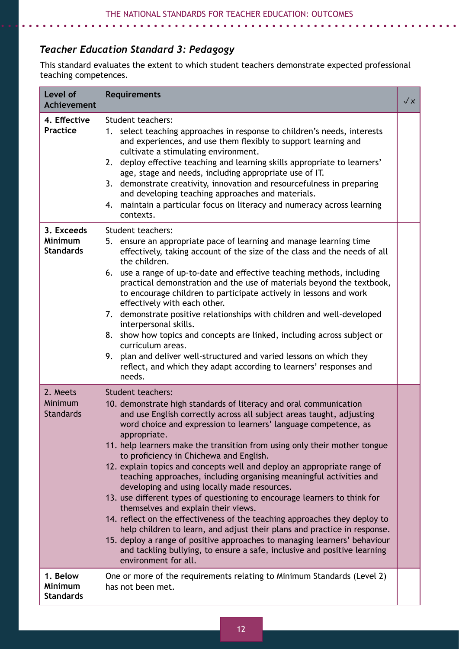# *Teacher Education Standard 3: Pedagogy*

. . . . . . . . . . .

This standard evaluates the extent to which student teachers demonstrate expected professional teaching competences.

| Level of<br><b>Achievement</b>                   | <b>Requirements</b>                                                                                                                                                                                                                                                                                                                                                                                                                                                                                                                                                                                                                                                                                                                                                                                                                                                                                                                                                                                                                        | $\sqrt{x}$ |
|--------------------------------------------------|--------------------------------------------------------------------------------------------------------------------------------------------------------------------------------------------------------------------------------------------------------------------------------------------------------------------------------------------------------------------------------------------------------------------------------------------------------------------------------------------------------------------------------------------------------------------------------------------------------------------------------------------------------------------------------------------------------------------------------------------------------------------------------------------------------------------------------------------------------------------------------------------------------------------------------------------------------------------------------------------------------------------------------------------|------------|
| 4. Effective<br><b>Practice</b>                  | Student teachers:<br>select teaching approaches in response to children's needs, interests<br>1.<br>and experiences, and use them flexibly to support learning and<br>cultivate a stimulating environment.<br>deploy effective teaching and learning skills appropriate to learners'<br>2.<br>age, stage and needs, including appropriate use of IT.<br>demonstrate creativity, innovation and resourcefulness in preparing<br>3.<br>and developing teaching approaches and materials.<br>maintain a particular focus on literacy and numeracy across learning<br>4.<br>contexts.                                                                                                                                                                                                                                                                                                                                                                                                                                                          |            |
| 3. Exceeds<br><b>Minimum</b><br><b>Standards</b> | Student teachers:<br>5. ensure an appropriate pace of learning and manage learning time<br>effectively, taking account of the size of the class and the needs of all<br>the children.<br>6. use a range of up-to-date and effective teaching methods, including<br>practical demonstration and the use of materials beyond the textbook,<br>to encourage children to participate actively in lessons and work<br>effectively with each other.<br>demonstrate positive relationships with children and well-developed<br>7.<br>interpersonal skills.<br>show how topics and concepts are linked, including across subject or<br>8.<br>curriculum areas.<br>plan and deliver well-structured and varied lessons on which they<br>9.<br>reflect, and which they adapt according to learners' responses and<br>needs.                                                                                                                                                                                                                          |            |
| 2. Meets<br>Minimum<br><b>Standards</b>          | Student teachers:<br>10. demonstrate high standards of literacy and oral communication<br>and use English correctly across all subject areas taught, adjusting<br>word choice and expression to learners' language competence, as<br>appropriate.<br>11. help learners make the transition from using only their mother tongue<br>to proficiency in Chichewa and English.<br>12. explain topics and concepts well and deploy an appropriate range of<br>teaching approaches, including organising meaningful activities and<br>developing and using locally made resources.<br>13. use different types of questioning to encourage learners to think for<br>themselves and explain their views.<br>14. reflect on the effectiveness of the teaching approaches they deploy to<br>help children to learn, and adjust their plans and practice in response.<br>15. deploy a range of positive approaches to managing learners' behaviour<br>and tackling bullying, to ensure a safe, inclusive and positive learning<br>environment for all. |            |
| 1. Below<br>Minimum<br><b>Standards</b>          | One or more of the requirements relating to Minimum Standards (Level 2)<br>has not been met.                                                                                                                                                                                                                                                                                                                                                                                                                                                                                                                                                                                                                                                                                                                                                                                                                                                                                                                                               |            |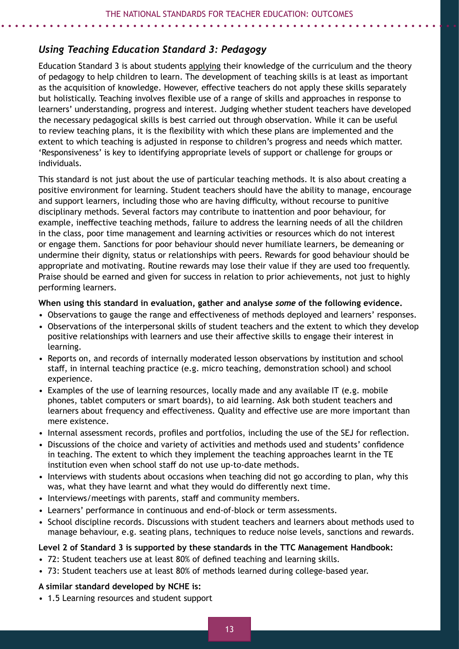# *Using Teaching Education Standard 3: Pedagogy*

Education Standard 3 is about students applying their knowledge of the curriculum and the theory of pedagogy to help children to learn. The development of teaching skills is at least as important as the acquisition of knowledge. However, effective teachers do not apply these skills separately but holistically. Teaching involves flexible use of a range of skills and approaches in response to learners' understanding, progress and interest. Judging whether student teachers have developed the necessary pedagogical skills is best carried out through observation. While it can be useful to review teaching plans, it is the flexibility with which these plans are implemented and the extent to which teaching is adjusted in response to children's progress and needs which matter. 'Responsiveness' is key to identifying appropriate levels of support or challenge for groups or individuals.

This standard is not just about the use of particular teaching methods. It is also about creating a positive environment for learning. Student teachers should have the ability to manage, encourage and support learners, including those who are having difficulty, without recourse to punitive disciplinary methods. Several factors may contribute to inattention and poor behaviour, for example, ineffective teaching methods, failure to address the learning needs of all the children in the class, poor time management and learning activities or resources which do not interest or engage them. Sanctions for poor behaviour should never humiliate learners, be demeaning or undermine their dignity, status or relationships with peers. Rewards for good behaviour should be appropriate and motivating. Routine rewards may lose their value if they are used too frequently. Praise should be earned and given for success in relation to prior achievements, not just to highly performing learners.

#### **When using this standard in evaluation, gather and analyse** *some* **of the following evidence.**

- Observations to gauge the range and effectiveness of methods deployed and learners' responses.
- Observations of the interpersonal skills of student teachers and the extent to which they develop positive relationships with learners and use their affective skills to engage their interest in learning.
- Reports on, and records of internally moderated lesson observations by institution and school staff, in internal teaching practice (e.g. micro teaching, demonstration school) and school experience.
- Examples of the use of learning resources, locally made and any available IT (e.g. mobile phones, tablet computers or smart boards), to aid learning. Ask both student teachers and learners about frequency and effectiveness. Quality and effective use are more important than mere existence.
- Internal assessment records, profiles and portfolios, including the use of the SEJ for reflection.
- Discussions of the choice and variety of activities and methods used and students' confidence in teaching. The extent to which they implement the teaching approaches learnt in the TE institution even when school staff do not use up-to-date methods.
- Interviews with students about occasions when teaching did not go according to plan, why this was, what they have learnt and what they would do differently next time.
- Interviews/meetings with parents, staff and community members.
- Learners' performance in continuous and end-of-block or term assessments.
- School discipline records. Discussions with student teachers and learners about methods used to manage behaviour, e.g. seating plans, techniques to reduce noise levels, sanctions and rewards.

#### **Level 2 of Standard 3 is supported by these standards in the TTC Management Handbook:**

- 72: Student teachers use at least 80% of defined teaching and learning skills.
- 73: Student teachers use at least 80% of methods learned during college-based year.

#### **A similar standard developed by NCHE is:**

• 1.5 Learning resources and student support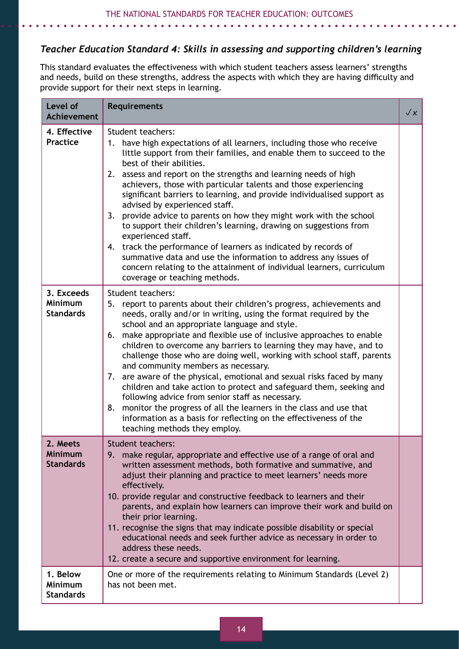# *Teacher Education Standard 4: Skills in assessing and supporting children's learning*

This standard evaluates the effectiveness with which student teachers assess learners' strengths and needs, build on these strengths, address the aspects with which they are having difficulty and provide support for their next steps in learning.

| Level of<br><b>Achievement</b>                   | <b>Requirements</b>                                                                                                                                                                                                                                                                                                                                                                                                                                                                                                                                                                                                                                                                                                                                                                                                                                                        | $\sqrt{x}$ |
|--------------------------------------------------|----------------------------------------------------------------------------------------------------------------------------------------------------------------------------------------------------------------------------------------------------------------------------------------------------------------------------------------------------------------------------------------------------------------------------------------------------------------------------------------------------------------------------------------------------------------------------------------------------------------------------------------------------------------------------------------------------------------------------------------------------------------------------------------------------------------------------------------------------------------------------|------------|
| 4. Effective<br><b>Practice</b>                  | Student teachers:<br>1. have high expectations of all learners, including those who receive<br>little support from their families, and enable them to succeed to the<br>best of their abilities.<br>2. assess and report on the strengths and learning needs of high<br>achievers, those with particular talents and those experiencing<br>significant barriers to learning, and provide individualised support as<br>advised by experienced staff.<br>3. provide advice to parents on how they might work with the school<br>to support their children's learning, drawing on suggestions from<br>experienced staff.<br>4. track the performance of learners as indicated by records of<br>summative data and use the information to address any issues of<br>concern relating to the attainment of individual learners, curriculum<br>coverage or teaching methods.      |            |
| 3. Exceeds<br><b>Minimum</b><br><b>Standards</b> | Student teachers:<br>5. report to parents about their children's progress, achievements and<br>needs, orally and/or in writing, using the format required by the<br>school and an appropriate language and style.<br>6. make appropriate and flexible use of inclusive approaches to enable<br>children to overcome any barriers to learning they may have, and to<br>challenge those who are doing well, working with school staff, parents<br>and community members as necessary.<br>7. are aware of the physical, emotional and sexual risks faced by many<br>children and take action to protect and safeguard them, seeking and<br>following advice from senior staff as necessary.<br>monitor the progress of all the learners in the class and use that<br>8.<br>information as a basis for reflecting on the effectiveness of the<br>teaching methods they employ. |            |
| 2. Meets<br><b>Minimum</b><br><b>Standards</b>   | <b>Student teachers:</b><br>9.<br>make regular, appropriate and effective use of a range of oral and<br>written assessment methods, both formative and summative, and<br>adjust their planning and practice to meet learners' needs more<br>effectively.<br>10. provide regular and constructive feedback to learners and their<br>parents, and explain how learners can improve their work and build on<br>their prior learning.<br>11. recognise the signs that may indicate possible disability or special<br>educational needs and seek further advice as necessary in order to<br>address these needs.<br>12. create a secure and supportive environment for learning.                                                                                                                                                                                                |            |
| 1. Below<br><b>Minimum</b><br><b>Standards</b>   | One or more of the requirements relating to Minimum Standards (Level 2)<br>has not been met.                                                                                                                                                                                                                                                                                                                                                                                                                                                                                                                                                                                                                                                                                                                                                                               |            |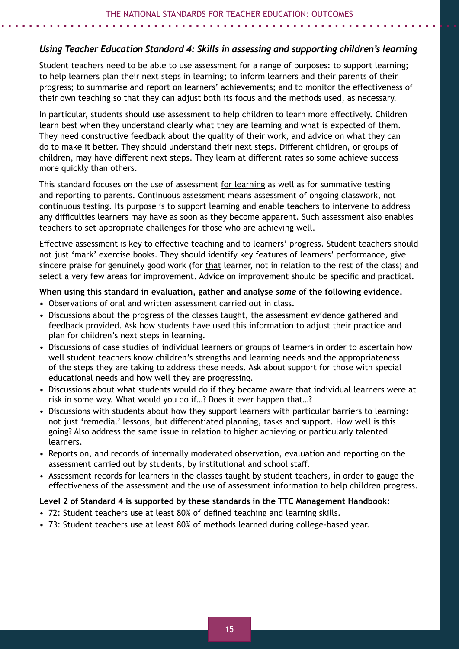#### *Using Teacher Education Standard 4: Skills in assessing and supporting children's learning*

Student teachers need to be able to use assessment for a range of purposes: to support learning; to help learners plan their next steps in learning; to inform learners and their parents of their progress; to summarise and report on learners' achievements; and to monitor the effectiveness of their own teaching so that they can adjust both its focus and the methods used, as necessary.

In particular, students should use assessment to help children to learn more effectively. Children learn best when they understand clearly what they are learning and what is expected of them. They need constructive feedback about the quality of their work, and advice on what they can do to make it better. They should understand their next steps. Different children, or groups of children, may have different next steps. They learn at different rates so some achieve success more quickly than others.

This standard focuses on the use of assessment for learning as well as for summative testing and reporting to parents. Continuous assessment means assessment of ongoing classwork, not continuous testing. Its purpose is to support learning and enable teachers to intervene to address any difficulties learners may have as soon as they become apparent. Such assessment also enables teachers to set appropriate challenges for those who are achieving well.

Effective assessment is key to effective teaching and to learners' progress. Student teachers should not just 'mark' exercise books. They should identify key features of learners' performance, give sincere praise for genuinely good work (for that learner, not in relation to the rest of the class) and select a very few areas for improvement. Advice on improvement should be specific and practical.

#### **When using this standard in evaluation, gather and analyse** *some* **of the following evidence.**

- Observations of oral and written assessment carried out in class.
- Discussions about the progress of the classes taught, the assessment evidence gathered and feedback provided. Ask how students have used this information to adjust their practice and plan for children's next steps in learning.
- Discussions of case studies of individual learners or groups of learners in order to ascertain how well student teachers know children's strengths and learning needs and the appropriateness of the steps they are taking to address these needs. Ask about support for those with special educational needs and how well they are progressing.
- Discussions about what students would do if they became aware that individual learners were at risk in some way. What would you do if…? Does it ever happen that…?
- Discussions with students about how they support learners with particular barriers to learning: not just 'remedial' lessons, but differentiated planning, tasks and support. How well is this going? Also address the same issue in relation to higher achieving or particularly talented learners.
- Reports on, and records of internally moderated observation, evaluation and reporting on the assessment carried out by students, by institutional and school staff.
- Assessment records for learners in the classes taught by student teachers, in order to gauge the effectiveness of the assessment and the use of assessment information to help children progress.

#### **Level 2 of Standard 4 is supported by these standards in the TTC Management Handbook:**

- 72: Student teachers use at least 80% of defined teaching and learning skills.
- 73: Student teachers use at least 80% of methods learned during college-based year.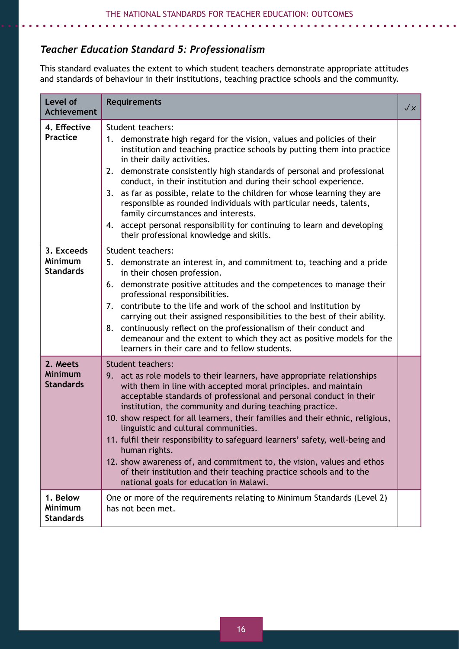# *Teacher Education Standard 5: Professionalism*

This standard evaluates the extent to which student teachers demonstrate appropriate attitudes and standards of behaviour in their institutions, teaching practice schools and the community.

| Level of<br><b>Achievement</b>                   | <b>Requirements</b>                                                                                                                                                                                                                                                                                                                                                                                                                                                                                                                                                                                                                                                                                                             | $\sqrt{\varkappa}$ |
|--------------------------------------------------|---------------------------------------------------------------------------------------------------------------------------------------------------------------------------------------------------------------------------------------------------------------------------------------------------------------------------------------------------------------------------------------------------------------------------------------------------------------------------------------------------------------------------------------------------------------------------------------------------------------------------------------------------------------------------------------------------------------------------------|--------------------|
| 4. Effective<br><b>Practice</b>                  | Student teachers:<br>demonstrate high regard for the vision, values and policies of their<br>1.<br>institution and teaching practice schools by putting them into practice<br>in their daily activities.<br>demonstrate consistently high standards of personal and professional<br>2.<br>conduct, in their institution and during their school experience.<br>as far as possible, relate to the children for whose learning they are<br>3.<br>responsible as rounded individuals with particular needs, talents,<br>family circumstances and interests.<br>4. accept personal responsibility for continuing to learn and developing<br>their professional knowledge and skills.                                                |                    |
| 3. Exceeds<br><b>Minimum</b><br><b>Standards</b> | Student teachers:<br>5. demonstrate an interest in, and commitment to, teaching and a pride<br>in their chosen profession.<br>demonstrate positive attitudes and the competences to manage their<br>6.<br>professional responsibilities.<br>contribute to the life and work of the school and institution by<br>7.<br>carrying out their assigned responsibilities to the best of their ability.<br>continuously reflect on the professionalism of their conduct and<br>8.<br>demeanour and the extent to which they act as positive models for the<br>learners in their care and to fellow students.                                                                                                                           |                    |
| 2. Meets<br><b>Minimum</b><br><b>Standards</b>   | <b>Student teachers:</b><br>9. act as role models to their learners, have appropriate relationships<br>with them in line with accepted moral principles. and maintain<br>acceptable standards of professional and personal conduct in their<br>institution, the community and during teaching practice.<br>10. show respect for all learners, their families and their ethnic, religious,<br>linguistic and cultural communities.<br>11. fulfil their responsibility to safeguard learners' safety, well-being and<br>human rights.<br>12. show awareness of, and commitment to, the vision, values and ethos<br>of their institution and their teaching practice schools and to the<br>national goals for education in Malawi. |                    |
| 1. Below<br><b>Minimum</b><br><b>Standards</b>   | One or more of the requirements relating to Minimum Standards (Level 2)<br>has not been met.                                                                                                                                                                                                                                                                                                                                                                                                                                                                                                                                                                                                                                    |                    |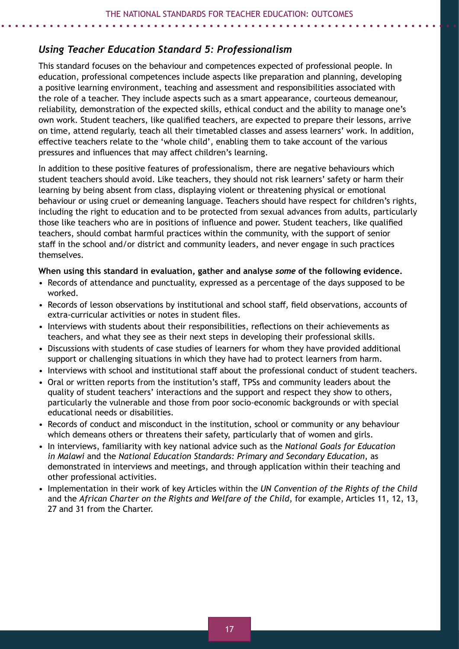### *Using Teacher Education Standard 5: Professionalism*

This standard focuses on the behaviour and competences expected of professional people. In education, professional competences include aspects like preparation and planning, developing a positive learning environment, teaching and assessment and responsibilities associated with the role of a teacher. They include aspects such as a smart appearance, courteous demeanour, reliability, demonstration of the expected skills, ethical conduct and the ability to manage one's own work. Student teachers, like qualified teachers, are expected to prepare their lessons, arrive on time, attend regularly, teach all their timetabled classes and assess learners' work. In addition, effective teachers relate to the 'whole child', enabling them to take account of the various pressures and influences that may affect children's learning.

In addition to these positive features of professionalism, there are negative behaviours which student teachers should avoid. Like teachers, they should not risk learners' safety or harm their learning by being absent from class, displaying violent or threatening physical or emotional behaviour or using cruel or demeaning language. Teachers should have respect for children's rights, including the right to education and to be protected from sexual advances from adults, particularly those like teachers who are in positions of influence and power. Student teachers, like qualified teachers, should combat harmful practices within the community, with the support of senior staff in the school and/or district and community leaders, and never engage in such practices themselves.

#### **When using this standard in evaluation, gather and analyse** *some* **of the following evidence.**

- Records of attendance and punctuality, expressed as a percentage of the days supposed to be worked.
- Records of lesson observations by institutional and school staff, field observations, accounts of extra-curricular activities or notes in student files.
- Interviews with students about their responsibilities, reflections on their achievements as teachers, and what they see as their next steps in developing their professional skills.
- Discussions with students of case studies of learners for whom they have provided additional support or challenging situations in which they have had to protect learners from harm.
- Interviews with school and institutional staff about the professional conduct of student teachers.
- Oral or written reports from the institution's staff, TPSs and community leaders about the quality of student teachers' interactions and the support and respect they show to others, particularly the vulnerable and those from poor socio-economic backgrounds or with special educational needs or disabilities.
- Records of conduct and misconduct in the institution, school or community or any behaviour which demeans others or threatens their safety, particularly that of women and girls.
- In interviews, familiarity with key national advice such as the *National Goals for Education in Malawi* and the *National Education Standards: Primary and Secondary Education*, as demonstrated in interviews and meetings, and through application within their teaching and other professional activities.
- Implementation in their work of key Articles within the *UN Convention of the Rights of the Child* and the *African Charter on the Rights and Welfare of the Child*, for example, Articles 11, 12, 13, 27 and 31 from the Charter.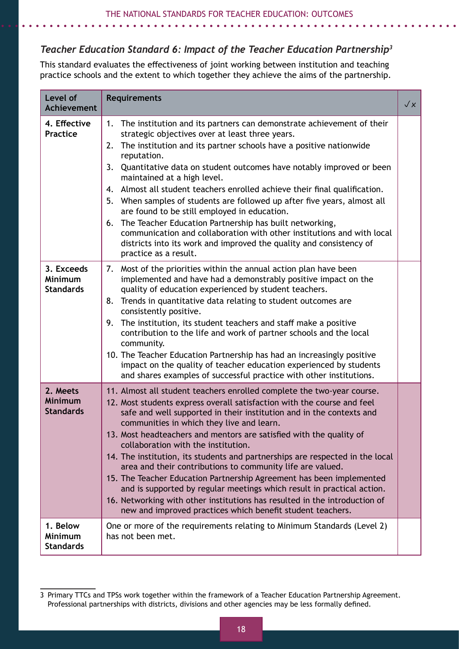# *Teacher Education Standard 6: Impact of the Teacher Education Partnership3*

This standard evaluates the effectiveness of joint working between institution and teaching practice schools and the extent to which together they achieve the aims of the partnership.

| Level of<br><b>Achievement</b>                 | <b>Requirements</b>                                                                                                                                                                                                                                                                                                                                                                                                                                                                                                                                                                                                                                                                                                                                                                                                               | $\sqrt{x}$ |
|------------------------------------------------|-----------------------------------------------------------------------------------------------------------------------------------------------------------------------------------------------------------------------------------------------------------------------------------------------------------------------------------------------------------------------------------------------------------------------------------------------------------------------------------------------------------------------------------------------------------------------------------------------------------------------------------------------------------------------------------------------------------------------------------------------------------------------------------------------------------------------------------|------------|
| 4. Effective<br>Practice                       | The institution and its partners can demonstrate achievement of their<br>1.<br>strategic objectives over at least three years.<br>The institution and its partner schools have a positive nationwide<br>2.<br>reputation.<br>3.<br>Quantitative data on student outcomes have notably improved or been<br>maintained at a high level.<br>Almost all student teachers enrolled achieve their final qualification.<br>4.<br>5. When samples of students are followed up after five years, almost all<br>are found to be still employed in education.<br>The Teacher Education Partnership has built networking,<br>6.<br>communication and collaboration with other institutions and with local<br>districts into its work and improved the quality and consistency of<br>practice as a result.                                     |            |
| 3. Exceeds<br>Minimum<br><b>Standards</b>      | Most of the priorities within the annual action plan have been<br>7.<br>implemented and have had a demonstrably positive impact on the<br>quality of education experienced by student teachers.<br>Trends in quantitative data relating to student outcomes are<br>8.<br>consistently positive.<br>The institution, its student teachers and staff make a positive<br>9.<br>contribution to the life and work of partner schools and the local<br>community.<br>10. The Teacher Education Partnership has had an increasingly positive<br>impact on the quality of teacher education experienced by students<br>and shares examples of successful practice with other institutions.                                                                                                                                               |            |
| 2. Meets<br><b>Minimum</b><br><b>Standards</b> | 11. Almost all student teachers enrolled complete the two-year course.<br>12. Most students express overall satisfaction with the course and feel<br>safe and well supported in their institution and in the contexts and<br>communities in which they live and learn.<br>13. Most headteachers and mentors are satisfied with the quality of<br>collaboration with the institution.<br>14. The institution, its students and partnerships are respected in the local<br>area and their contributions to community life are valued.<br>15. The Teacher Education Partnership Agreement has been implemented<br>and is supported by regular meetings which result in practical action.<br>16. Networking with other institutions has resulted in the introduction of<br>new and improved practices which benefit student teachers. |            |
| 1. Below<br>Minimum<br><b>Standards</b>        | One or more of the requirements relating to Minimum Standards (Level 2)<br>has not been met.                                                                                                                                                                                                                                                                                                                                                                                                                                                                                                                                                                                                                                                                                                                                      |            |

<sup>3</sup> Primary TTCs and TPSs work together within the framework of a Teacher Education Partnership Agreement. Professional partnerships with districts, divisions and other agencies may be less formally defined.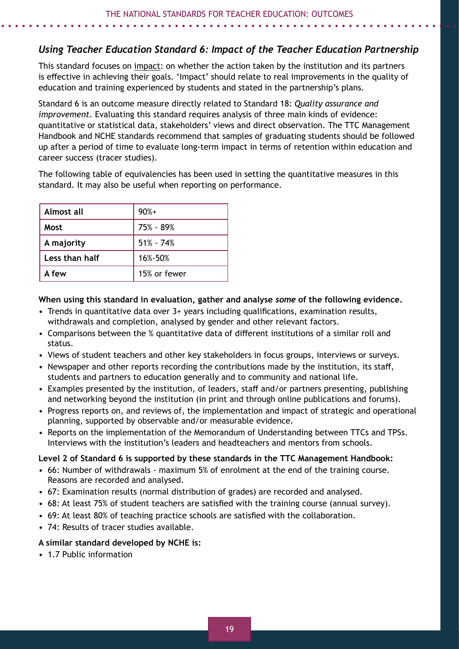# *Using Teacher Education Standard 6: Impact of the Teacher Education Partnership*

This standard focuses on impact: on whether the action taken by the institution and its partners is effective in achieving their goals. 'Impact' should relate to real improvements in the quality of education and training experienced by students and stated in the partnership's plans.

Standard 6 is an outcome measure directly related to Standard 18: *Quality assurance and improvement*. Evaluating this standard requires analysis of three main kinds of evidence: quantitative or statistical data, stakeholders' views and direct observation. The TTC Management Handbook and NCHE standards recommend that samples of graduating students should be followed up after a period of time to evaluate long-term impact in terms of retention within education and career success (tracer studies).

The following table of equivalencies has been used in setting the quantitative measures in this standard. It may also be useful when reporting on performance.

| Almost all     | $90%+$        |
|----------------|---------------|
| Most           | 75% - 89%     |
| A majority     | $51\% - 74\%$ |
| Less than half | 16%-50%       |
| A few          | 15% or fewer  |

#### **When using this standard in evaluation, gather and analyse** *some* **of the following evidence.**

- Trends in quantitative data over 3+ years including qualifications, examination results, withdrawals and completion, analysed by gender and other relevant factors.
- Comparisons between the % quantitative data of different institutions of a similar roll and status.
- Views of student teachers and other key stakeholders in focus groups, interviews or surveys.
- Newspaper and other reports recording the contributions made by the institution, its staff, students and partners to education generally and to community and national life.
- Examples presented by the institution, of leaders, staff and/or partners presenting, publishing and networking beyond the institution (in print and through online publications and forums).
- Progress reports on, and reviews of, the implementation and impact of strategic and operational planning, supported by observable and/or measurable evidence.
- Reports on the implementation of the Memorandum of Understanding between TTCs and TPSs. Interviews with the institution's leaders and headteachers and mentors from schools.

#### **Level 2 of Standard 6 is supported by these standards in the TTC Management Handbook:**

- 66: Number of withdrawals maximum 5% of enrolment at the end of the training course. Reasons are recorded and analysed.
- 67: Examination results (normal distribution of grades) are recorded and analysed.
- 68: At least 75% of student teachers are satisfied with the training course (annual survey).
- 69: At least 80% of teaching practice schools are satisfied with the collaboration.
- 74: Results of tracer studies available.

#### **A similar standard developed by NCHE is:**

• 1.7 Public information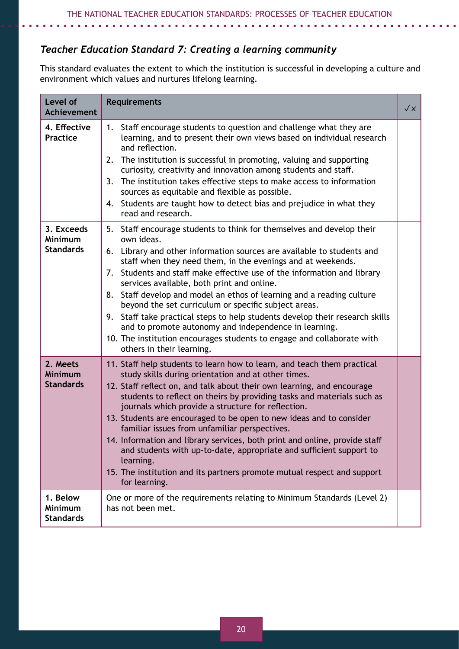# *Teacher Education Standard 7: Creating a learning community*

This standard evaluates the extent to which the institution is successful in developing a culture and environment which values and nurtures lifelong learning.

| Level of<br><b>Achievement</b>                   | <b>Requirements</b>                                                                                                                                                                                                                                                                                                                                                                                                                                                                                                                                                                                                                                                                                                                    | $\sqrt{x}$ |
|--------------------------------------------------|----------------------------------------------------------------------------------------------------------------------------------------------------------------------------------------------------------------------------------------------------------------------------------------------------------------------------------------------------------------------------------------------------------------------------------------------------------------------------------------------------------------------------------------------------------------------------------------------------------------------------------------------------------------------------------------------------------------------------------------|------------|
| 4. Effective<br><b>Practice</b>                  | Staff encourage students to question and challenge what they are<br>1.<br>learning, and to present their own views based on individual research<br>and reflection.<br>The institution is successful in promoting, valuing and supporting<br>2.<br>curiosity, creativity and innovation among students and staff.<br>The institution takes effective steps to make access to information<br>3.<br>sources as equitable and flexible as possible.<br>4. Students are taught how to detect bias and prejudice in what they<br>read and research.                                                                                                                                                                                          |            |
| 3. Exceeds<br><b>Minimum</b><br><b>Standards</b> | 5. Staff encourage students to think for themselves and develop their<br>own ideas.<br>6. Library and other information sources are available to students and<br>staff when they need them, in the evenings and at weekends.<br>7. Students and staff make effective use of the information and library<br>services available, both print and online.<br>8. Staff develop and model an ethos of learning and a reading culture<br>beyond the set curriculum or specific subject areas.<br>9. Staff take practical steps to help students develop their research skills<br>and to promote autonomy and independence in learning.<br>10. The institution encourages students to engage and collaborate with<br>others in their learning. |            |
| 2. Meets<br>Minimum<br><b>Standards</b>          | 11. Staff help students to learn how to learn, and teach them practical<br>study skills during orientation and at other times.<br>12. Staff reflect on, and talk about their own learning, and encourage<br>students to reflect on theirs by providing tasks and materials such as<br>journals which provide a structure for reflection.<br>13. Students are encouraged to be open to new ideas and to consider<br>familiar issues from unfamiliar perspectives.<br>14. Information and library services, both print and online, provide staff<br>and students with up-to-date, appropriate and sufficient support to<br>learning.<br>15. The institution and its partners promote mutual respect and support<br>for learning.         |            |
| 1. Below<br>Minimum<br><b>Standards</b>          | One or more of the requirements relating to Minimum Standards (Level 2)<br>has not been met.                                                                                                                                                                                                                                                                                                                                                                                                                                                                                                                                                                                                                                           |            |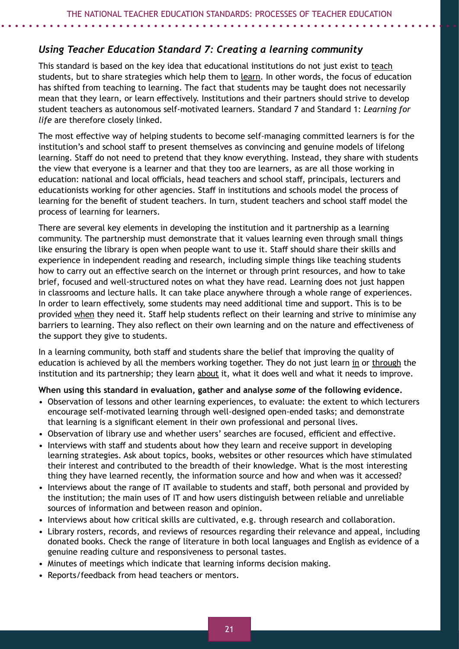# *Using Teacher Education Standard 7: Creating a learning community*

This standard is based on the key idea that educational institutions do not just exist to teach students, but to share strategies which help them to learn. In other words, the focus of education has shifted from teaching to learning. The fact that students may be taught does not necessarily mean that they learn, or learn effectively. Institutions and their partners should strive to develop student teachers as autonomous self-motivated learners. Standard 7 and Standard 1: *Learning for life* are therefore closely linked.

The most effective way of helping students to become self-managing committed learners is for the institution's and school staff to present themselves as convincing and genuine models of lifelong learning. Staff do not need to pretend that they know everything. Instead, they share with students the view that everyone is a learner and that they too are learners, as are all those working in education: national and local officials, head teachers and school staff, principals, lecturers and educationists working for other agencies. Staff in institutions and schools model the process of learning for the benefit of student teachers. In turn, student teachers and school staff model the process of learning for learners.

There are several key elements in developing the institution and it partnership as a learning community. The partnership must demonstrate that it values learning even through small things like ensuring the library is open when people want to use it. Staff should share their skills and experience in independent reading and research, including simple things like teaching students how to carry out an effective search on the internet or through print resources, and how to take brief, focused and well-structured notes on what they have read. Learning does not just happen in classrooms and lecture halls. It can take place anywhere through a whole range of experiences. In order to learn effectively, some students may need additional time and support. This is to be provided when they need it. Staff help students reflect on their learning and strive to minimise any barriers to learning. They also reflect on their own learning and on the nature and effectiveness of the support they give to students.

In a learning community, both staff and students share the belief that improving the quality of education is achieved by all the members working together. They do not just learn in or through the institution and its partnership; they learn about it, what it does well and what it needs to improve.

**When using this standard in evaluation, gather and analyse** *some* **of the following evidence.**

- Observation of lessons and other learning experiences, to evaluate: the extent to which lecturers encourage self-motivated learning through well-designed open-ended tasks; and demonstrate that learning is a significant element in their own professional and personal lives.
- Observation of library use and whether users' searches are focused, efficient and effective.
- Interviews with staff and students about how they learn and receive support in developing learning strategies. Ask about topics, books, websites or other resources which have stimulated their interest and contributed to the breadth of their knowledge. What is the most interesting thing they have learned recently, the information source and how and when was it accessed?
- Interviews about the range of IT available to students and staff, both personal and provided by the institution; the main uses of IT and how users distinguish between reliable and unreliable sources of information and between reason and opinion.
- Interviews about how critical skills are cultivated, e.g. through research and collaboration.
- Library rosters, records, and reviews of resources regarding their relevance and appeal, including donated books. Check the range of literature in both local languages and English as evidence of a genuine reading culture and responsiveness to personal tastes.
- Minutes of meetings which indicate that learning informs decision making.
- Reports/feedback from head teachers or mentors.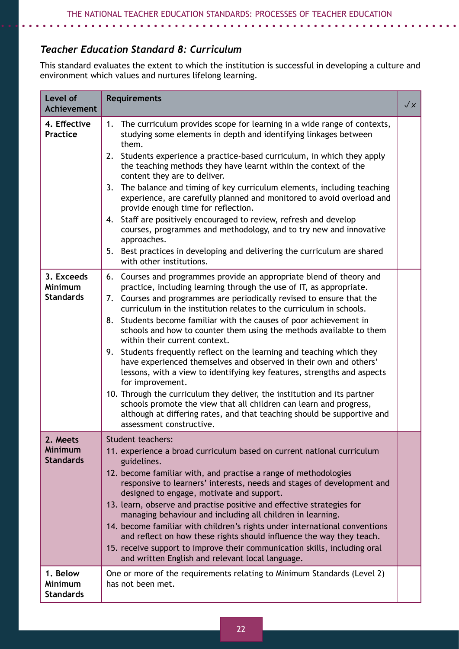# *Teacher Education Standard 8: Curriculum*

This standard evaluates the extent to which the institution is successful in developing a culture and environment which values and nurtures lifelong learning.

| Level of<br><b>Achievement</b>                   | <b>Requirements</b>                                                                                                                                                                                                                                                                                                                                                                                                                                                                                                                                                                                                                                                                                                                                                                                                                                                                                                                                                                    | $\sqrt{x}$ |
|--------------------------------------------------|----------------------------------------------------------------------------------------------------------------------------------------------------------------------------------------------------------------------------------------------------------------------------------------------------------------------------------------------------------------------------------------------------------------------------------------------------------------------------------------------------------------------------------------------------------------------------------------------------------------------------------------------------------------------------------------------------------------------------------------------------------------------------------------------------------------------------------------------------------------------------------------------------------------------------------------------------------------------------------------|------------|
| 4. Effective<br><b>Practice</b>                  | The curriculum provides scope for learning in a wide range of contexts,<br>1.<br>studying some elements in depth and identifying linkages between<br>them.<br>2. Students experience a practice-based curriculum, in which they apply<br>the teaching methods they have learnt within the context of the<br>content they are to deliver.<br>The balance and timing of key curriculum elements, including teaching<br>3.<br>experience, are carefully planned and monitored to avoid overload and<br>provide enough time for reflection.<br>4. Staff are positively encouraged to review, refresh and develop<br>courses, programmes and methodology, and to try new and innovative<br>approaches.<br>Best practices in developing and delivering the curriculum are shared<br>5.<br>with other institutions.                                                                                                                                                                           |            |
| 3. Exceeds<br><b>Minimum</b><br><b>Standards</b> | 6. Courses and programmes provide an appropriate blend of theory and<br>practice, including learning through the use of IT, as appropriate.<br>7. Courses and programmes are periodically revised to ensure that the<br>curriculum in the institution relates to the curriculum in schools.<br>Students become familiar with the causes of poor achievement in<br>8.<br>schools and how to counter them using the methods available to them<br>within their current context.<br>Students frequently reflect on the learning and teaching which they<br>9.<br>have experienced themselves and observed in their own and others'<br>lessons, with a view to identifying key features, strengths and aspects<br>for improvement.<br>10. Through the curriculum they deliver, the institution and its partner<br>schools promote the view that all children can learn and progress,<br>although at differing rates, and that teaching should be supportive and<br>assessment constructive. |            |
| 2. Meets<br><b>Minimum</b><br><b>Standards</b>   | <b>Student teachers:</b><br>11. experience a broad curriculum based on current national curriculum<br>guidelines.<br>12. become familiar with, and practise a range of methodologies<br>responsive to learners' interests, needs and stages of development and<br>designed to engage, motivate and support.<br>13. learn, observe and practise positive and effective strategies for<br>managing behaviour and including all children in learning.<br>14. become familiar with children's rights under international conventions<br>and reflect on how these rights should influence the way they teach.<br>15. receive support to improve their communication skills, including oral<br>and written English and relevant local language.                                                                                                                                                                                                                                              |            |
| 1. Below<br><b>Minimum</b><br><b>Standards</b>   | One or more of the requirements relating to Minimum Standards (Level 2)<br>has not been met.                                                                                                                                                                                                                                                                                                                                                                                                                                                                                                                                                                                                                                                                                                                                                                                                                                                                                           |            |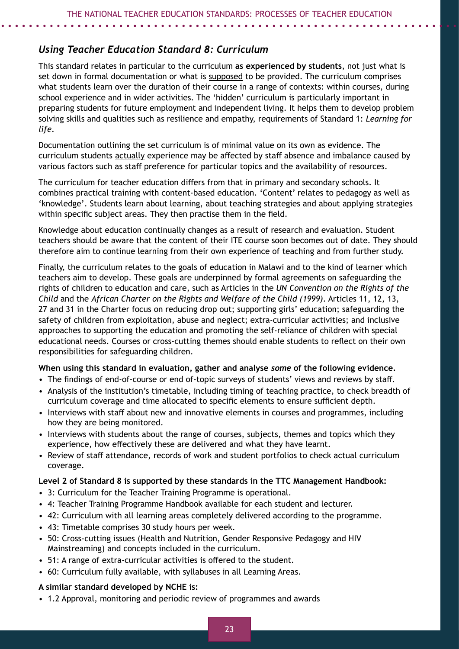# *Using Teacher Education Standard 8: Curriculum*

This standard relates in particular to the curriculum **as experienced by students**, not just what is set down in formal documentation or what is supposed to be provided. The curriculum comprises what students learn over the duration of their course in a range of contexts: within courses, during school experience and in wider activities. The 'hidden' curriculum is particularly important in preparing students for future employment and independent living. It helps them to develop problem solving skills and qualities such as resilience and empathy, requirements of Standard 1: *Learning for life*.

Documentation outlining the set curriculum is of minimal value on its own as evidence. The curriculum students actually experience may be affected by staff absence and imbalance caused by various factors such as staff preference for particular topics and the availability of resources.

The curriculum for teacher education differs from that in primary and secondary schools. It combines practical training with content-based education. 'Content' relates to pedagogy as well as 'knowledge'. Students learn about learning, about teaching strategies and about applying strategies within specific subject areas. They then practise them in the field.

Knowledge about education continually changes as a result of research and evaluation. Student teachers should be aware that the content of their ITE course soon becomes out of date. They should therefore aim to continue learning from their own experience of teaching and from further study.

Finally, the curriculum relates to the goals of education in Malawi and to the kind of learner which teachers aim to develop. These goals are underpinned by formal agreements on safeguarding the rights of children to education and care, such as Articles in the *UN Convention on the Rights of the Child* and the *African Charter on the Rights and Welfare of the Child (1999)*. Articles 11, 12, 13, 27 and 31 in the Charter focus on reducing drop out; supporting girls' education; safeguarding the safety of children from exploitation, abuse and neglect; extra-curricular activities; and inclusive approaches to supporting the education and promoting the self-reliance of children with special educational needs. Courses or cross-cutting themes should enable students to reflect on their own responsibilities for safeguarding children.

#### **When using this standard in evaluation, gather and analyse** *some* **of the following evidence.**

- The findings of end-of-course or end of-topic surveys of students' views and reviews by staff.
- Analysis of the institution's timetable, including timing of teaching practice, to check breadth of curriculum coverage and time allocated to specific elements to ensure sufficient depth.
- Interviews with staff about new and innovative elements in courses and programmes, including how they are being monitored.
- Interviews with students about the range of courses, subjects, themes and topics which they experience, how effectively these are delivered and what they have learnt.
- Review of staff attendance, records of work and student portfolios to check actual curriculum coverage.

#### **Level 2 of Standard 8 is supported by these standards in the TTC Management Handbook:**

- 3: Curriculum for the Teacher Training Programme is operational.
- 4: Teacher Training Programme Handbook available for each student and lecturer.
- 42: Curriculum with all learning areas completely delivered according to the programme.
- 43: Timetable comprises 30 study hours per week.
- 50: Cross-cutting issues (Health and Nutrition, Gender Responsive Pedagogy and HIV Mainstreaming) and concepts included in the curriculum.
- 51: A range of extra-curricular activities is offered to the student.
- 60: Curriculum fully available, with syllabuses in all Learning Areas.

#### **A similar standard developed by NCHE is:**

• 1.2 Approval, monitoring and periodic review of programmes and awards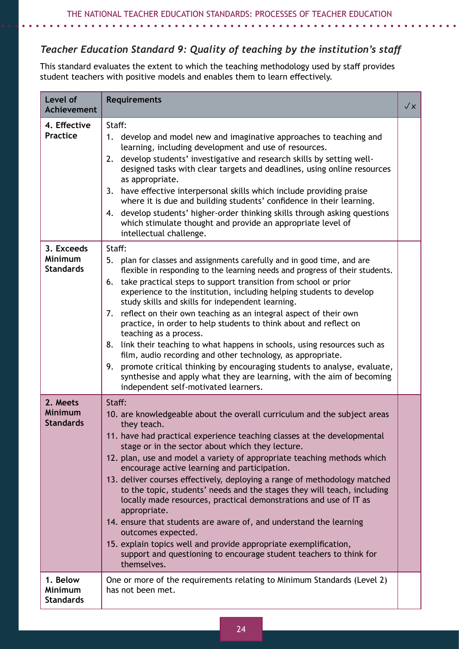# *Teacher Education Standard 9: Quality of teaching by the institution's staff*

This standard evaluates the extent to which the teaching methodology used by staff provides student teachers with positive models and enables them to learn effectively.

| Level of<br><b>Achievement</b>                   | <b>Requirements</b>                                                                                                                                                                                                                                                                                                                                                                                                                                                                                                                                                                                                                                                                                                                                                                                                                                                                             | $\sqrt{x}$ |
|--------------------------------------------------|-------------------------------------------------------------------------------------------------------------------------------------------------------------------------------------------------------------------------------------------------------------------------------------------------------------------------------------------------------------------------------------------------------------------------------------------------------------------------------------------------------------------------------------------------------------------------------------------------------------------------------------------------------------------------------------------------------------------------------------------------------------------------------------------------------------------------------------------------------------------------------------------------|------------|
| 4. Effective<br><b>Practice</b>                  | Staff:<br>1. develop and model new and imaginative approaches to teaching and<br>learning, including development and use of resources.<br>develop students' investigative and research skills by setting well-<br>2.<br>designed tasks with clear targets and deadlines, using online resources<br>as appropriate.<br>have effective interpersonal skills which include providing praise<br>3.<br>where it is due and building students' confidence in their learning.<br>4. develop students' higher-order thinking skills through asking questions<br>which stimulate thought and provide an appropriate level of<br>intellectual challenge.                                                                                                                                                                                                                                                  |            |
| 3. Exceeds<br><b>Minimum</b><br><b>Standards</b> | Staff:<br>5. plan for classes and assignments carefully and in good time, and are<br>flexible in responding to the learning needs and progress of their students.<br>take practical steps to support transition from school or prior<br>6.<br>experience to the institution, including helping students to develop<br>study skills and skills for independent learning.<br>7. reflect on their own teaching as an integral aspect of their own<br>practice, in order to help students to think about and reflect on<br>teaching as a process.<br>link their teaching to what happens in schools, using resources such as<br>8.<br>film, audio recording and other technology, as appropriate.<br>promote critical thinking by encouraging students to analyse, evaluate,<br>9.<br>synthesise and apply what they are learning, with the aim of becoming<br>independent self-motivated learners. |            |
| 2. Meets<br><b>Minimum</b><br><b>Standards</b>   | Staff:<br>10. are knowledgeable about the overall curriculum and the subject areas<br>they teach.<br>11. have had practical experience teaching classes at the developmental<br>stage or in the sector about which they lecture.<br>12. plan, use and model a variety of appropriate teaching methods which<br>encourage active learning and participation.<br>13. deliver courses effectively, deploying a range of methodology matched<br>to the topic, students' needs and the stages they will teach, including<br>locally made resources, practical demonstrations and use of IT as<br>appropriate.<br>14. ensure that students are aware of, and understand the learning<br>outcomes expected.<br>15. explain topics well and provide appropriate exemplification,<br>support and questioning to encourage student teachers to think for<br>themselves.                                   |            |
| 1. Below<br><b>Minimum</b><br><b>Standards</b>   | One or more of the requirements relating to Minimum Standards (Level 2)<br>has not been met.                                                                                                                                                                                                                                                                                                                                                                                                                                                                                                                                                                                                                                                                                                                                                                                                    |            |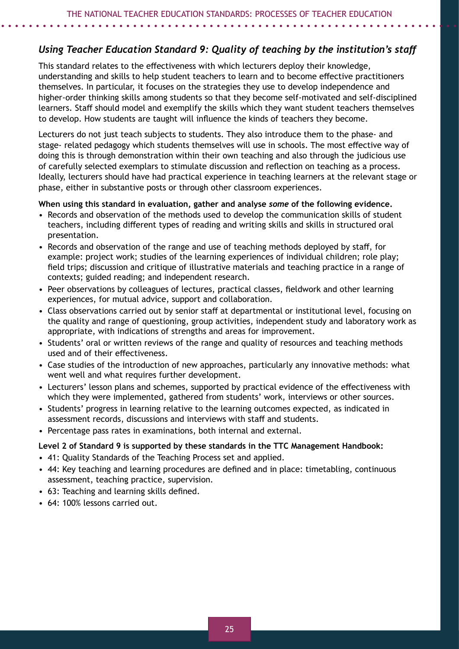# *Using Teacher Education Standard 9: Quality of teaching by the institution's staff*

This standard relates to the effectiveness with which lecturers deploy their knowledge, understanding and skills to help student teachers to learn and to become effective practitioners themselves. In particular, it focuses on the strategies they use to develop independence and higher-order thinking skills among students so that they become self-motivated and self-disciplined learners. Staff should model and exemplify the skills which they want student teachers themselves to develop. How students are taught will influence the kinds of teachers they become.

Lecturers do not just teach subjects to students. They also introduce them to the phase- and stage- related pedagogy which students themselves will use in schools. The most effective way of doing this is through demonstration within their own teaching and also through the judicious use of carefully selected exemplars to stimulate discussion and reflection on teaching as a process. Ideally, lecturers should have had practical experience in teaching learners at the relevant stage or phase, either in substantive posts or through other classroom experiences.

#### **When using this standard in evaluation, gather and analyse** *some* **of the following evidence.**

- Records and observation of the methods used to develop the communication skills of student teachers, including different types of reading and writing skills and skills in structured oral presentation.
- Records and observation of the range and use of teaching methods deployed by staff, for example: project work; studies of the learning experiences of individual children; role play; field trips; discussion and critique of illustrative materials and teaching practice in a range of contexts; guided reading; and independent research.
- Peer observations by colleagues of lectures, practical classes, fieldwork and other learning experiences, for mutual advice, support and collaboration.
- Class observations carried out by senior staff at departmental or institutional level, focusing on the quality and range of questioning, group activities, independent study and laboratory work as appropriate, with indications of strengths and areas for improvement.
- Students' oral or written reviews of the range and quality of resources and teaching methods used and of their effectiveness.
- Case studies of the introduction of new approaches, particularly any innovative methods: what went well and what requires further development.
- Lecturers' lesson plans and schemes, supported by practical evidence of the effectiveness with which they were implemented, gathered from students' work, interviews or other sources.
- Students' progress in learning relative to the learning outcomes expected, as indicated in assessment records, discussions and interviews with staff and students.
- Percentage pass rates in examinations, both internal and external.

#### **Level 2 of Standard 9 is supported by these standards in the TTC Management Handbook:**

- 41: Quality Standards of the Teaching Process set and applied.
- 44: Key teaching and learning procedures are defined and in place: timetabling, continuous assessment, teaching practice, supervision.
- 63: Teaching and learning skills defined.
- 64: 100% lessons carried out.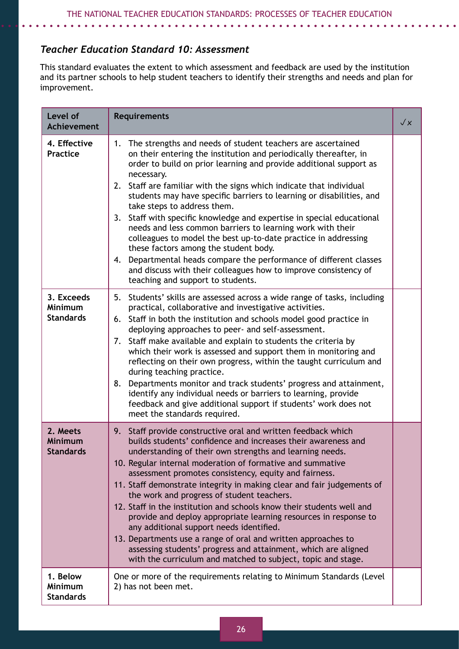# *Teacher Education Standard 10: Assessment*

*A A A A A A* 

. . . . . . .

This standard evaluates the extent to which assessment and feedback are used by the institution and its partner schools to help student teachers to identify their strengths and needs and plan for improvement.

| Level of<br><b>Achievement</b>                 | <b>Requirements</b>                                                                                                                                                                                                                                                                                                                                                                                                                                                                                                                                                                                                                                                                                                                                                                                                                         | $\sqrt{x}$ |
|------------------------------------------------|---------------------------------------------------------------------------------------------------------------------------------------------------------------------------------------------------------------------------------------------------------------------------------------------------------------------------------------------------------------------------------------------------------------------------------------------------------------------------------------------------------------------------------------------------------------------------------------------------------------------------------------------------------------------------------------------------------------------------------------------------------------------------------------------------------------------------------------------|------------|
| 4. Effective<br><b>Practice</b>                | 1. The strengths and needs of student teachers are ascertained<br>on their entering the institution and periodically thereafter, in<br>order to build on prior learning and provide additional support as<br>necessary.<br>Staff are familiar with the signs which indicate that individual<br>2.<br>students may have specific barriers to learning or disabilities, and<br>take steps to address them.<br>3. Staff with specific knowledge and expertise in special educational<br>needs and less common barriers to learning work with their<br>colleagues to model the best up-to-date practice in addressing<br>these factors among the student body.<br>Departmental heads compare the performance of different classes<br>4.<br>and discuss with their colleagues how to improve consistency of<br>teaching and support to students. |            |
| 3. Exceeds<br>Minimum<br><b>Standards</b>      | 5. Students' skills are assessed across a wide range of tasks, including<br>practical, collaborative and investigative activities.<br>6. Staff in both the institution and schools model good practice in<br>deploying approaches to peer- and self-assessment.<br>Staff make available and explain to students the criteria by<br>7.<br>which their work is assessed and support them in monitoring and<br>reflecting on their own progress, within the taught curriculum and<br>during teaching practice.<br>8. Departments monitor and track students' progress and attainment,<br>identify any individual needs or barriers to learning, provide<br>feedback and give additional support if students' work does not<br>meet the standards required.                                                                                     |            |
| 2. Meets<br><b>Minimum</b><br><b>Standards</b> | Staff provide constructive oral and written feedback which<br>9.<br>builds students' confidence and increases their awareness and<br>understanding of their own strengths and learning needs.<br>10. Regular internal moderation of formative and summative<br>assessment promotes consistency, equity and fairness.<br>11. Staff demonstrate integrity in making clear and fair judgements of<br>the work and progress of student teachers.<br>12. Staff in the institution and schools know their students well and<br>provide and deploy appropriate learning resources in response to<br>any additional support needs identified.<br>13. Departments use a range of oral and written approaches to<br>assessing students' progress and attainment, which are aligned<br>with the curriculum and matched to subject, topic and stage.    |            |
| 1. Below<br><b>Minimum</b><br><b>Standards</b> | One or more of the requirements relating to Minimum Standards (Level<br>2) has not been met.                                                                                                                                                                                                                                                                                                                                                                                                                                                                                                                                                                                                                                                                                                                                                |            |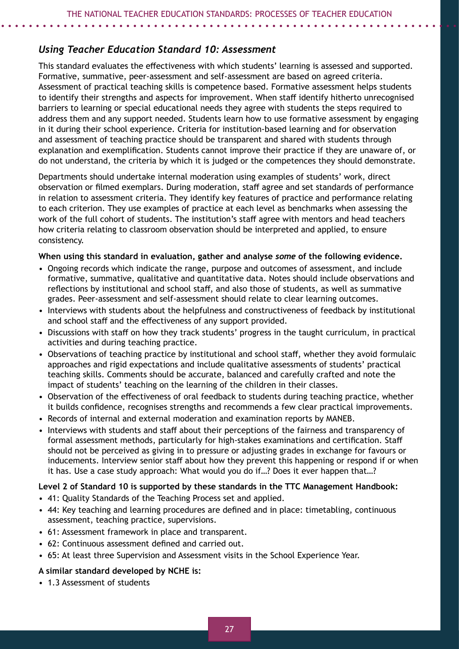#### *Using Teacher Education Standard 10: Assessment*

This standard evaluates the effectiveness with which students' learning is assessed and supported. Formative, summative, peer-assessment and self-assessment are based on agreed criteria. Assessment of practical teaching skills is competence based. Formative assessment helps students to identify their strengths and aspects for improvement. When staff identify hitherto unrecognised barriers to learning or special educational needs they agree with students the steps required to address them and any support needed. Students learn how to use formative assessment by engaging in it during their school experience. Criteria for institution-based learning and for observation and assessment of teaching practice should be transparent and shared with students through explanation and exemplification. Students cannot improve their practice if they are unaware of, or do not understand, the criteria by which it is judged or the competences they should demonstrate.

Departments should undertake internal moderation using examples of students' work, direct observation or filmed exemplars. During moderation, staff agree and set standards of performance in relation to assessment criteria. They identify key features of practice and performance relating to each criterion. They use examples of practice at each level as benchmarks when assessing the work of the full cohort of students. The institution's staff agree with mentors and head teachers how criteria relating to classroom observation should be interpreted and applied, to ensure consistency.

#### **When using this standard in evaluation, gather and analyse** *some* **of the following evidence.**

- Ongoing records which indicate the range, purpose and outcomes of assessment, and include formative, summative, qualitative and quantitative data. Notes should include observations and reflections by institutional and school staff, and also those of students, as well as summative grades. Peer-assessment and self-assessment should relate to clear learning outcomes.
- Interviews with students about the helpfulness and constructiveness of feedback by institutional and school staff and the effectiveness of any support provided.
- Discussions with staff on how they track students' progress in the taught curriculum, in practical activities and during teaching practice.
- Observations of teaching practice by institutional and school staff, whether they avoid formulaic approaches and rigid expectations and include qualitative assessments of students' practical teaching skills. Comments should be accurate, balanced and carefully crafted and note the impact of students' teaching on the learning of the children in their classes.
- Observation of the effectiveness of oral feedback to students during teaching practice, whether it builds confidence, recognises strengths and recommends a few clear practical improvements.
- Records of internal and external moderation and examination reports by MANEB.
- Interviews with students and staff about their perceptions of the fairness and transparency of formal assessment methods, particularly for high-stakes examinations and certification. Staff should not be perceived as giving in to pressure or adjusting grades in exchange for favours or inducements. Interview senior staff about how they prevent this happening or respond if or when it has. Use a case study approach: What would you do if…? Does it ever happen that…?

#### **Level 2 of Standard 10 is supported by these standards in the TTC Management Handbook:**

- 41: Quality Standards of the Teaching Process set and applied.
- 44: Key teaching and learning procedures are defined and in place: timetabling, continuous assessment, teaching practice, supervisions.
- 61: Assessment framework in place and transparent.
- 62: Continuous assessment defined and carried out.
- 65: At least three Supervision and Assessment visits in the School Experience Year.

#### **A similar standard developed by NCHE is:**

• 1.3 Assessment of students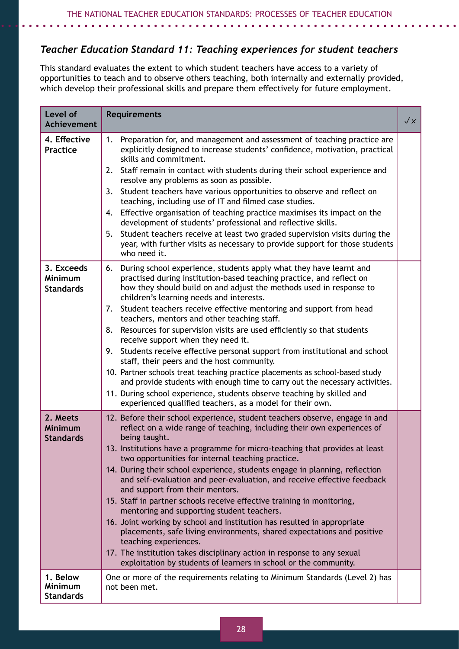# *Teacher Education Standard 11: Teaching experiences for student teachers*

This standard evaluates the extent to which student teachers have access to a variety of opportunities to teach and to observe others teaching, both internally and externally provided, which develop their professional skills and prepare them effectively for future employment.

| Level of<br><b>Achievement</b>                 | <b>Requirements</b>                                                                                                                                                                                                                                                                                                                                                                                                                                                                                                                                                                                                                                                                                                                                                                                                                                                                                                                                           | $\sqrt{\varkappa}$ |
|------------------------------------------------|---------------------------------------------------------------------------------------------------------------------------------------------------------------------------------------------------------------------------------------------------------------------------------------------------------------------------------------------------------------------------------------------------------------------------------------------------------------------------------------------------------------------------------------------------------------------------------------------------------------------------------------------------------------------------------------------------------------------------------------------------------------------------------------------------------------------------------------------------------------------------------------------------------------------------------------------------------------|--------------------|
| 4. Effective<br><b>Practice</b>                | Preparation for, and management and assessment of teaching practice are<br>1.<br>explicitly designed to increase students' confidence, motivation, practical<br>skills and commitment.<br>2. Staff remain in contact with students during their school experience and<br>resolve any problems as soon as possible.<br>Student teachers have various opportunities to observe and reflect on<br>3.<br>teaching, including use of IT and filmed case studies.<br>Effective organisation of teaching practice maximises its impact on the<br>4.<br>development of students' professional and reflective skills.<br>Student teachers receive at least two graded supervision visits during the<br>5.<br>year, with further visits as necessary to provide support for those students<br>who need it.                                                                                                                                                              |                    |
| 3. Exceeds<br>Minimum<br><b>Standards</b>      | During school experience, students apply what they have learnt and<br>6.<br>practised during institution-based teaching practice, and reflect on<br>how they should build on and adjust the methods used in response to<br>children's learning needs and interests.<br>7. Student teachers receive effective mentoring and support from head<br>teachers, mentors and other teaching staff.<br>Resources for supervision visits are used efficiently so that students<br>8.<br>receive support when they need it.<br>Students receive effective personal support from institutional and school<br>9.<br>staff, their peers and the host community.<br>10. Partner schools treat teaching practice placements as school-based study<br>and provide students with enough time to carry out the necessary activities.<br>11. During school experience, students observe teaching by skilled and<br>experienced qualified teachers, as a model for their own.     |                    |
| 2. Meets<br><b>Minimum</b><br><b>Standards</b> | 12. Before their school experience, student teachers observe, engage in and<br>reflect on a wide range of teaching, including their own experiences of<br>being taught.<br>13. Institutions have a programme for micro-teaching that provides at least<br>two opportunities for internal teaching practice.<br>14. During their school experience, students engage in planning, reflection<br>and self-evaluation and peer-evaluation, and receive effective feedback<br>and support from their mentors.<br>15. Staff in partner schools receive effective training in monitoring,<br>mentoring and supporting student teachers.<br>16. Joint working by school and institution has resulted in appropriate<br>placements, safe living environments, shared expectations and positive<br>teaching experiences.<br>17. The institution takes disciplinary action in response to any sexual<br>exploitation by students of learners in school or the community. |                    |
| 1. Below<br><b>Minimum</b><br><b>Standards</b> | One or more of the requirements relating to Minimum Standards (Level 2) has<br>not been met.                                                                                                                                                                                                                                                                                                                                                                                                                                                                                                                                                                                                                                                                                                                                                                                                                                                                  |                    |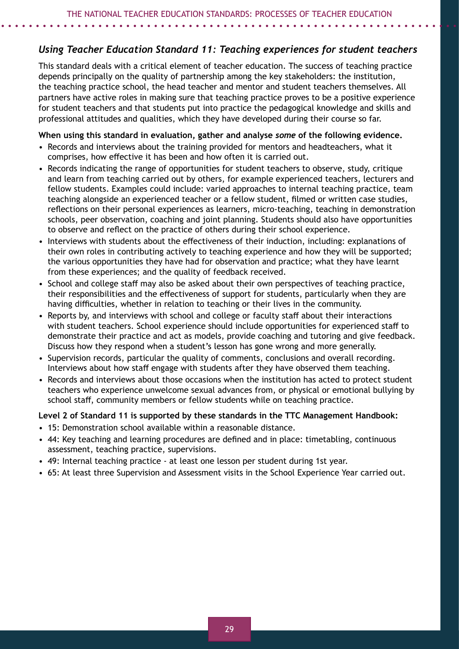# *Using Teacher Education Standard 11: Teaching experiences for student teachers*

This standard deals with a critical element of teacher education. The success of teaching practice depends principally on the quality of partnership among the key stakeholders: the institution, the teaching practice school, the head teacher and mentor and student teachers themselves. All partners have active roles in making sure that teaching practice proves to be a positive experience for student teachers and that students put into practice the pedagogical knowledge and skills and professional attitudes and qualities, which they have developed during their course so far.

#### **When using this standard in evaluation, gather and analyse** *some* **of the following evidence.**

- Records and interviews about the training provided for mentors and headteachers, what it comprises, how effective it has been and how often it is carried out.
- Records indicating the range of opportunities for student teachers to observe, study, critique and learn from teaching carried out by others, for example experienced teachers, lecturers and fellow students. Examples could include: varied approaches to internal teaching practice, team teaching alongside an experienced teacher or a fellow student, filmed or written case studies, reflections on their personal experiences as learners, micro-teaching, teaching in demonstration schools, peer observation, coaching and joint planning. Students should also have opportunities to observe and reflect on the practice of others during their school experience.
- Interviews with students about the effectiveness of their induction, including: explanations of their own roles in contributing actively to teaching experience and how they will be supported; the various opportunities they have had for observation and practice; what they have learnt from these experiences; and the quality of feedback received.
- School and college staff may also be asked about their own perspectives of teaching practice, their responsibilities and the effectiveness of support for students, particularly when they are having difficulties, whether in relation to teaching or their lives in the community.
- Reports by, and interviews with school and college or faculty staff about their interactions with student teachers. School experience should include opportunities for experienced staff to demonstrate their practice and act as models, provide coaching and tutoring and give feedback. Discuss how they respond when a student's lesson has gone wrong and more generally.
- Supervision records, particular the quality of comments, conclusions and overall recording. Interviews about how staff engage with students after they have observed them teaching.
- Records and interviews about those occasions when the institution has acted to protect student teachers who experience unwelcome sexual advances from, or physical or emotional bullying by school staff, community members or fellow students while on teaching practice.

#### **Level 2 of Standard 11 is supported by these standards in the TTC Management Handbook:**

- 15: Demonstration school available within a reasonable distance.
- 44: Key teaching and learning procedures are defined and in place: timetabling, continuous assessment, teaching practice, supervisions.
- 49: Internal teaching practice at least one lesson per student during 1st year.
- 65: At least three Supervision and Assessment visits in the School Experience Year carried out.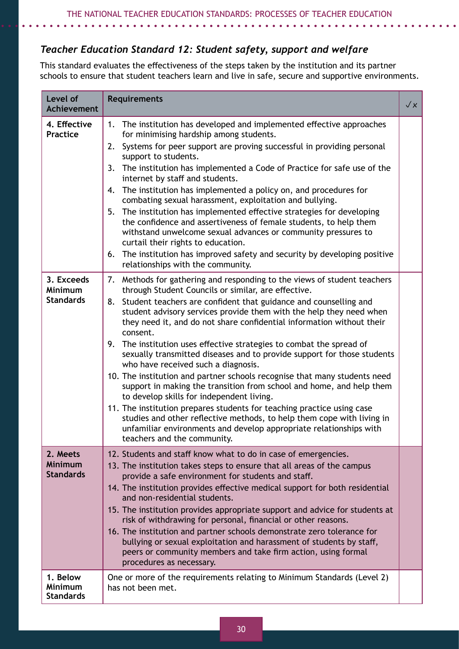# *Teacher Education Standard 12: Student safety, support and welfare*

This standard evaluates the effectiveness of the steps taken by the institution and its partner schools to ensure that student teachers learn and live in safe, secure and supportive environments.

| Level of<br><b>Achievement</b>                   | <b>Requirements</b>                                                                                                                                                                                                                                                                                                                                                                                                                                                                                                                                                                                                                                                                                                                                                                                                                                                                                                                                                                                                              | $\sqrt{x}$ |
|--------------------------------------------------|----------------------------------------------------------------------------------------------------------------------------------------------------------------------------------------------------------------------------------------------------------------------------------------------------------------------------------------------------------------------------------------------------------------------------------------------------------------------------------------------------------------------------------------------------------------------------------------------------------------------------------------------------------------------------------------------------------------------------------------------------------------------------------------------------------------------------------------------------------------------------------------------------------------------------------------------------------------------------------------------------------------------------------|------------|
| 4. Effective<br><b>Practice</b>                  | The institution has developed and implemented effective approaches<br>1.<br>for minimising hardship among students.<br>Systems for peer support are proving successful in providing personal<br>2.<br>support to students.<br>The institution has implemented a Code of Practice for safe use of the<br>3.<br>internet by staff and students.<br>The institution has implemented a policy on, and procedures for<br>4.<br>combating sexual harassment, exploitation and bullying.<br>The institution has implemented effective strategies for developing<br>5.<br>the confidence and assertiveness of female students, to help them<br>withstand unwelcome sexual advances or community pressures to<br>curtail their rights to education.<br>The institution has improved safety and security by developing positive<br>6.<br>relationships with the community.                                                                                                                                                                 |            |
| 3. Exceeds<br><b>Minimum</b><br><b>Standards</b> | Methods for gathering and responding to the views of student teachers<br>7.<br>through Student Councils or similar, are effective.<br>Student teachers are confident that guidance and counselling and<br>8.<br>student advisory services provide them with the help they need when<br>they need it, and do not share confidential information without their<br>consent.<br>The institution uses effective strategies to combat the spread of<br>9.<br>sexually transmitted diseases and to provide support for those students<br>who have received such a diagnosis.<br>10. The institution and partner schools recognise that many students need<br>support in making the transition from school and home, and help them<br>to develop skills for independent living.<br>11. The institution prepares students for teaching practice using case<br>studies and other reflective methods, to help them cope with living in<br>unfamiliar environments and develop appropriate relationships with<br>teachers and the community. |            |
| 2. Meets<br><b>Minimum</b><br><b>Standards</b>   | 12. Students and staff know what to do in case of emergencies.<br>13. The institution takes steps to ensure that all areas of the campus<br>provide a safe environment for students and staff.<br>14. The institution provides effective medical support for both residential<br>and non-residential students.<br>15. The institution provides appropriate support and advice for students at<br>risk of withdrawing for personal, financial or other reasons.<br>16. The institution and partner schools demonstrate zero tolerance for<br>bullying or sexual exploitation and harassment of students by staff,<br>peers or community members and take firm action, using formal<br>procedures as necessary.                                                                                                                                                                                                                                                                                                                    |            |
| 1. Below<br><b>Minimum</b><br><b>Standards</b>   | One or more of the requirements relating to Minimum Standards (Level 2)<br>has not been met.                                                                                                                                                                                                                                                                                                                                                                                                                                                                                                                                                                                                                                                                                                                                                                                                                                                                                                                                     |            |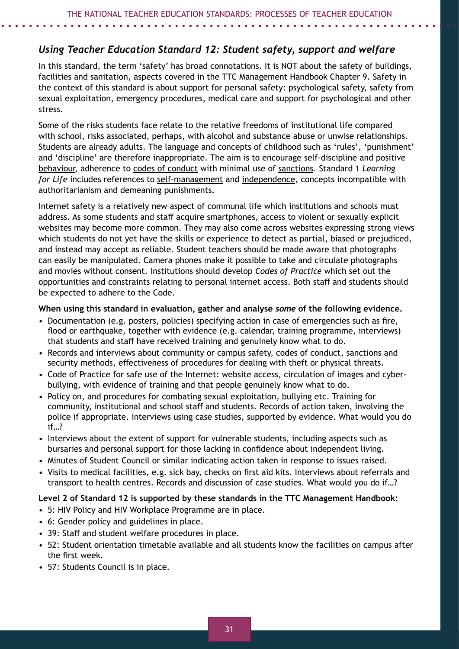# *Using Teacher Education Standard 12: Student safety, support and welfare*

In this standard, the term 'safety' has broad connotations. It is NOT about the safety of buildings, facilities and sanitation, aspects covered in the TTC Management Handbook Chapter 9. Safety in the context of this standard is about support for personal safety: psychological safety, safety from sexual exploitation, emergency procedures, medical care and support for psychological and other stress.

Some of the risks students face relate to the relative freedoms of institutional life compared with school, risks associated, perhaps, with alcohol and substance abuse or unwise relationships. Students are already adults. The language and concepts of childhood such as 'rules', 'punishment' and 'discipline' are therefore inappropriate. The aim is to encourage self-discipline and positive behaviour, adherence to codes of conduct with minimal use of sanctions. Standard 1 *Learning for Life* includes references to self-management and independence, concepts incompatible with authoritarianism and demeaning punishments.

Internet safety is a relatively new aspect of communal life which institutions and schools must address. As some students and staff acquire smartphones, access to violent or sexually explicit websites may become more common. They may also come across websites expressing strong views which students do not yet have the skills or experience to detect as partial, biased or prejudiced, and instead may accept as reliable. Student teachers should be made aware that photographs can easily be manipulated. Camera phones make it possible to take and circulate photographs and movies without consent. Institutions should develop *Codes of Practice* which set out the opportunities and constraints relating to personal internet access. Both staff and students should be expected to adhere to the Code.

**When using this standard in evaluation, gather and analyse** *some* **of the following evidence.**

- Documentation (e.g. posters, policies) specifying action in case of emergencies such as fire, flood or earthquake, together with evidence (e.g. calendar, training programme, interviews) that students and staff have received training and genuinely know what to do.
- Records and interviews about community or campus safety, codes of conduct, sanctions and security methods, effectiveness of procedures for dealing with theft or physical threats.
- Code of Practice for safe use of the Internet: website access, circulation of images and cyberbullying, with evidence of training and that people genuinely know what to do.
- Policy on, and procedures for combating sexual exploitation, bullying etc. Training for community, institutional and school staff and students. Records of action taken, involving the police if appropriate. Interviews using case studies, supported by evidence. What would you do if…?
- Interviews about the extent of support for vulnerable students, including aspects such as bursaries and personal support for those lacking in confidence about independent living.
- Minutes of Student Council or similar indicating action taken in response to issues raised.
- Visits to medical facilities, e.g. sick bay, checks on first aid kits. Interviews about referrals and transport to health centres. Records and discussion of case studies. What would you do if…?

#### **Level 2 of Standard 12 is supported by these standards in the TTC Management Handbook:**

- 5: HIV Policy and HIV Workplace Programme are in place.
- 6: Gender policy and guidelines in place.
- 39: Staff and student welfare procedures in place.
- 52: Student orientation timetable available and all students know the facilities on campus after the first week.
- 57: Students Council is in place.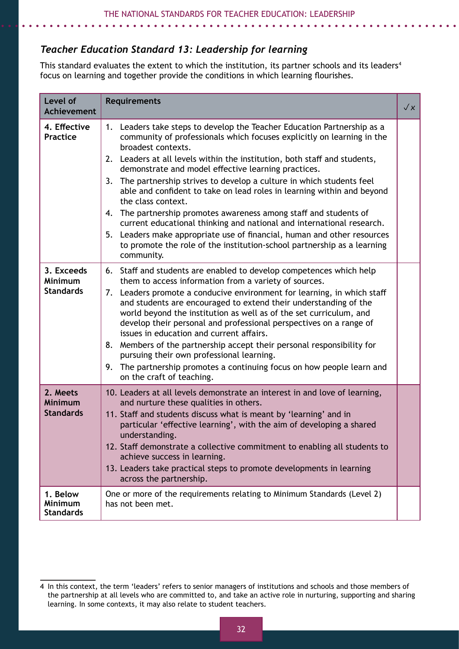# *Teacher Education Standard 13: Leadership for learning*

This standard evaluates the extent to which the institution, its partner schools and its leaders<sup>4</sup> focus on learning and together provide the conditions in which learning flourishes.

| Level of<br>Achievement                          | <b>Requirements</b>                                                                                                                                                                                                                                                                                                                                                                                                                                                                                                                                                                                                                                                                                                                                                                                           | $\sqrt{x}$ |
|--------------------------------------------------|---------------------------------------------------------------------------------------------------------------------------------------------------------------------------------------------------------------------------------------------------------------------------------------------------------------------------------------------------------------------------------------------------------------------------------------------------------------------------------------------------------------------------------------------------------------------------------------------------------------------------------------------------------------------------------------------------------------------------------------------------------------------------------------------------------------|------------|
| 4. Effective<br><b>Practice</b>                  | Leaders take steps to develop the Teacher Education Partnership as a<br>1.<br>community of professionals which focuses explicitly on learning in the<br>broadest contexts.<br>2. Leaders at all levels within the institution, both staff and students,<br>demonstrate and model effective learning practices.<br>The partnership strives to develop a culture in which students feel<br>3.<br>able and confident to take on lead roles in learning within and beyond<br>the class context.<br>4. The partnership promotes awareness among staff and students of<br>current educational thinking and national and international research.<br>5. Leaders make appropriate use of financial, human and other resources<br>to promote the role of the institution-school partnership as a learning<br>community. |            |
| 3. Exceeds<br><b>Minimum</b><br><b>Standards</b> | 6. Staff and students are enabled to develop competences which help<br>them to access information from a variety of sources.<br>7. Leaders promote a conducive environment for learning, in which staff<br>and students are encouraged to extend their understanding of the<br>world beyond the institution as well as of the set curriculum, and<br>develop their personal and professional perspectives on a range of<br>issues in education and current affairs.<br>8. Members of the partnership accept their personal responsibility for<br>pursuing their own professional learning.<br>The partnership promotes a continuing focus on how people learn and<br>9.<br>on the craft of teaching.                                                                                                          |            |
| 2. Meets<br><b>Minimum</b><br><b>Standards</b>   | 10. Leaders at all levels demonstrate an interest in and love of learning,<br>and nurture these qualities in others.<br>11. Staff and students discuss what is meant by 'learning' and in<br>particular 'effective learning', with the aim of developing a shared<br>understanding.<br>12. Staff demonstrate a collective commitment to enabling all students to<br>achieve success in learning.<br>13. Leaders take practical steps to promote developments in learning<br>across the partnership.                                                                                                                                                                                                                                                                                                           |            |
| 1. Below<br><b>Minimum</b><br><b>Standards</b>   | One or more of the requirements relating to Minimum Standards (Level 2)<br>has not been met.                                                                                                                                                                                                                                                                                                                                                                                                                                                                                                                                                                                                                                                                                                                  |            |

<sup>4</sup> In this context, the term 'leaders' refers to senior managers of institutions and schools and those members of the partnership at all levels who are committed to, and take an active role in nurturing, supporting and sharing learning. In some contexts, it may also relate to student teachers.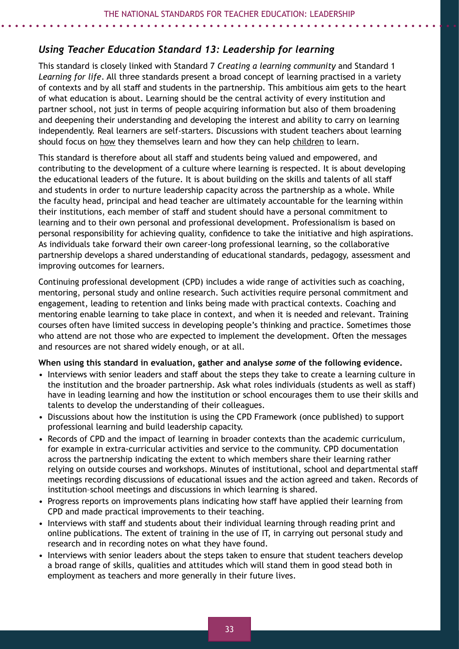# *Using Teacher Education Standard 13: Leadership for learning*

This standard is closely linked with Standard 7 *Creating a learning community* and Standard 1 *Learning for life*. All three standards present a broad concept of learning practised in a variety of contexts and by all staff and students in the partnership. This ambitious aim gets to the heart of what education is about. Learning should be the central activity of every institution and partner school, not just in terms of people acquiring information but also of them broadening and deepening their understanding and developing the interest and ability to carry on learning independently. Real learners are self-starters. Discussions with student teachers about learning should focus on how they themselves learn and how they can help children to learn.

This standard is therefore about all staff and students being valued and empowered, and contributing to the development of a culture where learning is respected. It is about developing the educational leaders of the future. It is about building on the skills and talents of all staff and students in order to nurture leadership capacity across the partnership as a whole. While the faculty head, principal and head teacher are ultimately accountable for the learning within their institutions, each member of staff and student should have a personal commitment to learning and to their own personal and professional development. Professionalism is based on personal responsibility for achieving quality, confidence to take the initiative and high aspirations. As individuals take forward their own career-long professional learning, so the collaborative partnership develops a shared understanding of educational standards, pedagogy, assessment and improving outcomes for learners.

Continuing professional development (CPD) includes a wide range of activities such as coaching, mentoring, personal study and online research. Such activities require personal commitment and engagement, leading to retention and links being made with practical contexts. Coaching and mentoring enable learning to take place in context, and when it is needed and relevant. Training courses often have limited success in developing people's thinking and practice. Sometimes those who attend are not those who are expected to implement the development. Often the messages and resources are not shared widely enough, or at all.

#### **When using this standard in evaluation, gather and analyse** *some* **of the following evidence.**

- Interviews with senior leaders and staff about the steps they take to create a learning culture in the institution and the broader partnership. Ask what roles individuals (students as well as staff) have in leading learning and how the institution or school encourages them to use their skills and talents to develop the understanding of their colleagues.
- Discussions about how the institution is using the CPD Framework (once published) to support professional learning and build leadership capacity.
- Records of CPD and the impact of learning in broader contexts than the academic curriculum, for example in extra-curricular activities and service to the community. CPD documentation across the partnership indicating the extent to which members share their learning rather relying on outside courses and workshops. Minutes of institutional, school and departmental staff meetings recording discussions of educational issues and the action agreed and taken. Records of institution–school meetings and discussions in which learning is shared.
- Progress reports on improvements plans indicating how staff have applied their learning from CPD and made practical improvements to their teaching.
- Interviews with staff and students about their individual learning through reading print and online publications. The extent of training in the use of IT, in carrying out personal study and research and in recording notes on what they have found.
- Interviews with senior leaders about the steps taken to ensure that student teachers develop a broad range of skills, qualities and attitudes which will stand them in good stead both in employment as teachers and more generally in their future lives.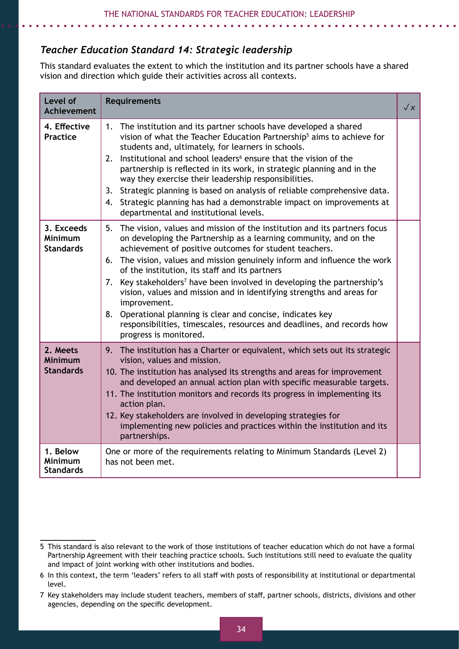# *Teacher Education Standard 14: Strategic leadership*

This standard evaluates the extent to which the institution and its partner schools have a shared vision and direction which guide their activities across all contexts. 3

| Level of<br><b>Achievement</b>                   | <b>Requirements</b>                                                                                                                                                                                                                                                                                                                                                                                                                                                                                                                                                                                                                                                                                   | $\sqrt{x}$ |
|--------------------------------------------------|-------------------------------------------------------------------------------------------------------------------------------------------------------------------------------------------------------------------------------------------------------------------------------------------------------------------------------------------------------------------------------------------------------------------------------------------------------------------------------------------------------------------------------------------------------------------------------------------------------------------------------------------------------------------------------------------------------|------------|
| 4. Effective<br><b>Practice</b>                  | The institution and its partner schools have developed a shared<br>1.<br>vision of what the Teacher Education Partnership <sup>5</sup> aims to achieve for<br>students and, ultimately, for learners in schools.<br>Institutional and school leaders <sup>6</sup> ensure that the vision of the<br>2.<br>partnership is reflected in its work, in strategic planning and in the<br>way they exercise their leadership responsibilities.<br>Strategic planning is based on analysis of reliable comprehensive data.<br>3.<br>Strategic planning has had a demonstrable impact on improvements at<br>4.<br>departmental and institutional levels.                                                       |            |
| 3. Exceeds<br><b>Minimum</b><br><b>Standards</b> | The vision, values and mission of the institution and its partners focus<br>5.<br>on developing the Partnership as a learning community, and on the<br>achievement of positive outcomes for student teachers.<br>6. The vision, values and mission genuinely inform and influence the work<br>of the institution, its staff and its partners<br>Key stakeholders <sup>7</sup> have been involved in developing the partnership's<br>7.<br>vision, values and mission and in identifying strengths and areas for<br>improvement.<br>Operational planning is clear and concise, indicates key<br>8.<br>responsibilities, timescales, resources and deadlines, and records how<br>progress is monitored. |            |
| 2. Meets<br><b>Minimum</b><br><b>Standards</b>   | 9. The institution has a Charter or equivalent, which sets out its strategic<br>vision, values and mission.<br>10. The institution has analysed its strengths and areas for improvement<br>and developed an annual action plan with specific measurable targets.<br>11. The institution monitors and records its progress in implementing its<br>action plan.<br>12. Key stakeholders are involved in developing strategies for<br>implementing new policies and practices within the institution and its<br>partnerships.                                                                                                                                                                            |            |
| 1. Below<br>Minimum<br><b>Standards</b>          | One or more of the requirements relating to Minimum Standards (Level 2)<br>has not been met.                                                                                                                                                                                                                                                                                                                                                                                                                                                                                                                                                                                                          |            |

<sup>5</sup> This standard is also relevant to the work of those institutions of teacher education which do not have a formal Partnership Agreement with their teaching practice schools. Such institutions still need to evaluate the quality and impact of joint working with other institutions and bodies.

<sup>6</sup> In this context, the term 'leaders' refers to all staff with posts of responsibility at institutional or departmental level.

<sup>7</sup> Key stakeholders may include student teachers, members of staff, partner schools, districts, divisions and other agencies, depending on the specific development.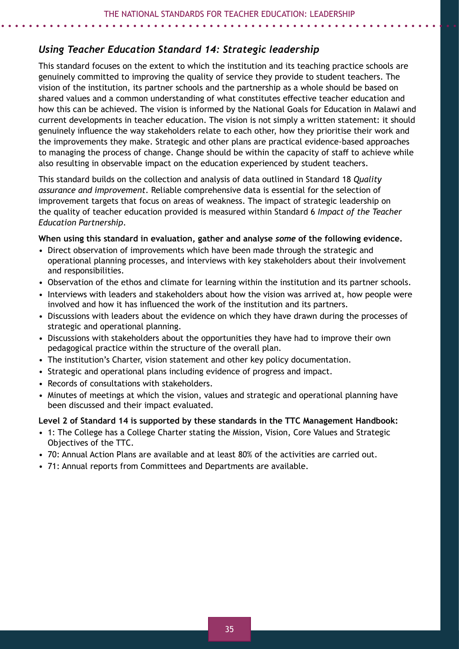# *Using Teacher Education Standard 14: Strategic leadership*

This standard focuses on the extent to which the institution and its teaching practice schools are genuinely committed to improving the quality of service they provide to student teachers. The vision of the institution, its partner schools and the partnership as a whole should be based on shared values and a common understanding of what constitutes effective teacher education and how this can be achieved. The vision is informed by the National Goals for Education in Malawi and current developments in teacher education. The vision is not simply a written statement: it should genuinely influence the way stakeholders relate to each other, how they prioritise their work and the improvements they make. Strategic and other plans are practical evidence-based approaches to managing the process of change. Change should be within the capacity of staff to achieve while also resulting in observable impact on the education experienced by student teachers.

This standard builds on the collection and analysis of data outlined in Standard 18 *Quality assurance and improvement*. Reliable comprehensive data is essential for the selection of improvement targets that focus on areas of weakness. The impact of strategic leadership on the quality of teacher education provided is measured within Standard 6 *Impact of the Teacher Education Partnership*.

#### **When using this standard in evaluation, gather and analyse** *some* **of the following evidence.**

- Direct observation of improvements which have been made through the strategic and operational planning processes, and interviews with key stakeholders about their involvement and responsibilities.
- Observation of the ethos and climate for learning within the institution and its partner schools.
- Interviews with leaders and stakeholders about how the vision was arrived at, how people were involved and how it has influenced the work of the institution and its partners.
- Discussions with leaders about the evidence on which they have drawn during the processes of strategic and operational planning.
- Discussions with stakeholders about the opportunities they have had to improve their own pedagogical practice within the structure of the overall plan.
- The institution's Charter, vision statement and other key policy documentation.
- Strategic and operational plans including evidence of progress and impact.
- Records of consultations with stakeholders.
- Minutes of meetings at which the vision, values and strategic and operational planning have been discussed and their impact evaluated.

#### **Level 2 of Standard 14 is supported by these standards in the TTC Management Handbook:**

- 1: The College has a College Charter stating the Mission, Vision, Core Values and Strategic Objectives of the TTC.
- 70: Annual Action Plans are available and at least 80% of the activities are carried out.
- 71: Annual reports from Committees and Departments are available.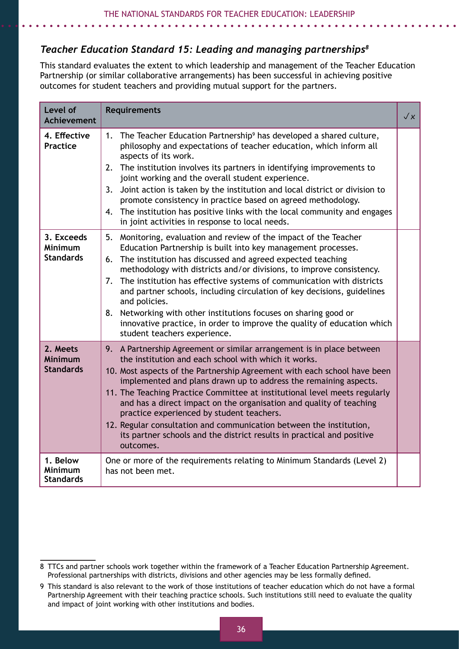# *Teacher Education Standard 15: Leading and managing partnerships8*

This standard evaluates the extent to which leadership and management of the Teacher Education Partnership (or similar collaborative arrangements) has been successful in achieving positive outcomes for student teachers and providing mutual support for the partners.

| Level of<br><b>Achievement</b>                   | <b>Requirements</b>                                                                                                                                                                                                                                                                                                                                                                                                                                                                                                                                                                                                                           | $\sqrt{x}$ |
|--------------------------------------------------|-----------------------------------------------------------------------------------------------------------------------------------------------------------------------------------------------------------------------------------------------------------------------------------------------------------------------------------------------------------------------------------------------------------------------------------------------------------------------------------------------------------------------------------------------------------------------------------------------------------------------------------------------|------------|
| 4. Effective<br>Practice                         | The Teacher Education Partnership <sup>9</sup> has developed a shared culture,<br>1.<br>philosophy and expectations of teacher education, which inform all<br>aspects of its work.<br>2. The institution involves its partners in identifying improvements to<br>joint working and the overall student experience.<br>Joint action is taken by the institution and local district or division to<br>3.<br>promote consistency in practice based on agreed methodology.<br>4. The institution has positive links with the local community and engages<br>in joint activities in response to local needs.                                       |            |
| 3. Exceeds<br><b>Minimum</b><br><b>Standards</b> | Monitoring, evaluation and review of the impact of the Teacher<br>5.<br>Education Partnership is built into key management processes.<br>6. The institution has discussed and agreed expected teaching<br>methodology with districts and/or divisions, to improve consistency.<br>The institution has effective systems of communication with districts<br>7.<br>and partner schools, including circulation of key decisions, guidelines<br>and policies.<br>Networking with other institutions focuses on sharing good or<br>8.<br>innovative practice, in order to improve the quality of education which<br>student teachers experience.   |            |
| 2. Meets<br><b>Minimum</b><br><b>Standards</b>   | 9. A Partnership Agreement or similar arrangement is in place between<br>the institution and each school with which it works.<br>10. Most aspects of the Partnership Agreement with each school have been<br>implemented and plans drawn up to address the remaining aspects.<br>11. The Teaching Practice Committee at institutional level meets regularly<br>and has a direct impact on the organisation and quality of teaching<br>practice experienced by student teachers.<br>12. Regular consultation and communication between the institution,<br>its partner schools and the district results in practical and positive<br>outcomes. |            |
| 1. Below<br><b>Minimum</b><br><b>Standards</b>   | One or more of the requirements relating to Minimum Standards (Level 2)<br>has not been met.                                                                                                                                                                                                                                                                                                                                                                                                                                                                                                                                                  |            |

<sup>8</sup> TTCs and partner schools work together within the framework of a Teacher Education Partnership Agreement. Professional partnerships with districts, divisions and other agencies may be less formally defined.

<sup>9</sup> This standard is also relevant to the work of those institutions of teacher education which do not have a formal Partnership Agreement with their teaching practice schools. Such institutions still need to evaluate the quality and impact of joint working with other institutions and bodies.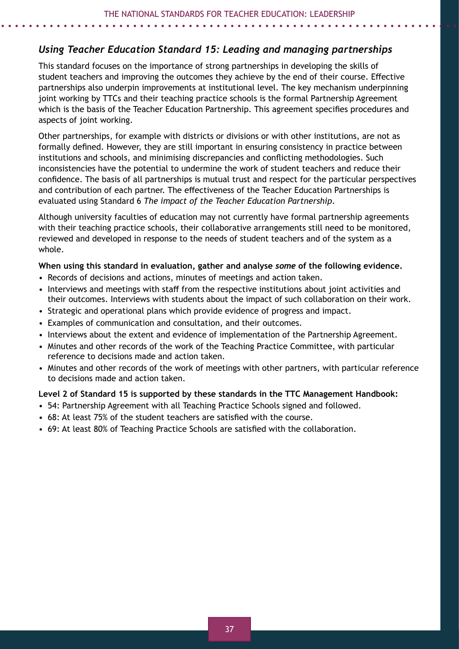# *Using Teacher Education Standard 15: Leading and managing partnerships*

This standard focuses on the importance of strong partnerships in developing the skills of student teachers and improving the outcomes they achieve by the end of their course. Effective partnerships also underpin improvements at institutional level. The key mechanism underpinning joint working by TTCs and their teaching practice schools is the formal Partnership Agreement which is the basis of the Teacher Education Partnership. This agreement specifies procedures and aspects of joint working.

Other partnerships, for example with districts or divisions or with other institutions, are not as formally defined. However, they are still important in ensuring consistency in practice between institutions and schools, and minimising discrepancies and conflicting methodologies. Such inconsistencies have the potential to undermine the work of student teachers and reduce their confidence. The basis of all partnerships is mutual trust and respect for the particular perspectives and contribution of each partner. The effectiveness of the Teacher Education Partnerships is evaluated using Standard 6 *The impact of the Teacher Education Partnership*.

Although university faculties of education may not currently have formal partnership agreements with their teaching practice schools, their collaborative arrangements still need to be monitored, reviewed and developed in response to the needs of student teachers and of the system as a whole.

#### **When using this standard in evaluation, gather and analyse** *some* **of the following evidence.**

- Records of decisions and actions, minutes of meetings and action taken.
- Interviews and meetings with staff from the respective institutions about joint activities and their outcomes. Interviews with students about the impact of such collaboration on their work.
- Strategic and operational plans which provide evidence of progress and impact.
- Examples of communication and consultation, and their outcomes.
- Interviews about the extent and evidence of implementation of the Partnership Agreement.
- Minutes and other records of the work of the Teaching Practice Committee, with particular reference to decisions made and action taken.
- Minutes and other records of the work of meetings with other partners, with particular reference to decisions made and action taken.

#### **Level 2 of Standard 15 is supported by these standards in the TTC Management Handbook:**

- 54: Partnership Agreement with all Teaching Practice Schools signed and followed.
- 68: At least 75% of the student teachers are satisfied with the course.
- 69: At least 80% of Teaching Practice Schools are satisfied with the collaboration.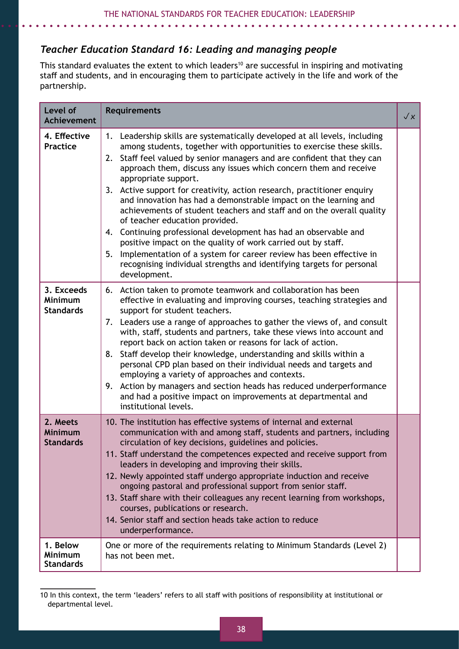# *Teacher Education Standard 16: Leading and managing people*

This standard evaluates the extent to which leaders<sup>10</sup> are successful in inspiring and motivating staff and students, and in encouraging them to participate actively in the life and work of the partnership.

| Level of<br><b>Achievement</b>                   | <b>Requirements</b>                                                                                                                                                                                                                                                                                                                                                                                                                                                                                                                                                                                                                                                                                                                                                                                                                                                                                    | $\sqrt{x}$ |
|--------------------------------------------------|--------------------------------------------------------------------------------------------------------------------------------------------------------------------------------------------------------------------------------------------------------------------------------------------------------------------------------------------------------------------------------------------------------------------------------------------------------------------------------------------------------------------------------------------------------------------------------------------------------------------------------------------------------------------------------------------------------------------------------------------------------------------------------------------------------------------------------------------------------------------------------------------------------|------------|
| 4. Effective<br><b>Practice</b>                  | Leadership skills are systematically developed at all levels, including<br>1.<br>among students, together with opportunities to exercise these skills.<br>Staff feel valued by senior managers and are confident that they can<br>2.<br>approach them, discuss any issues which concern them and receive<br>appropriate support.<br>Active support for creativity, action research, practitioner enquiry<br>3.<br>and innovation has had a demonstrable impact on the learning and<br>achievements of student teachers and staff and on the overall quality<br>of teacher education provided.<br>4. Continuing professional development has had an observable and<br>positive impact on the quality of work carried out by staff.<br>Implementation of a system for career review has been effective in<br>5.<br>recognising individual strengths and identifying targets for personal<br>development. |            |
| 3. Exceeds<br><b>Minimum</b><br><b>Standards</b> | Action taken to promote teamwork and collaboration has been<br>6.<br>effective in evaluating and improving courses, teaching strategies and<br>support for student teachers.<br>7. Leaders use a range of approaches to gather the views of, and consult<br>with, staff, students and partners, take these views into account and<br>report back on action taken or reasons for lack of action.<br>Staff develop their knowledge, understanding and skills within a<br>8.<br>personal CPD plan based on their individual needs and targets and<br>employing a variety of approaches and contexts.<br>9. Action by managers and section heads has reduced underperformance<br>and had a positive impact on improvements at departmental and<br>institutional levels.                                                                                                                                    |            |
| 2. Meets<br><b>Minimum</b><br><b>Standards</b>   | 10. The institution has effective systems of internal and external<br>communication with and among staff, students and partners, including<br>circulation of key decisions, guidelines and policies.<br>11. Staff understand the competences expected and receive support from<br>leaders in developing and improving their skills.<br>12. Newly appointed staff undergo appropriate induction and receive<br>ongoing pastoral and professional support from senior staff.<br>13. Staff share with their colleagues any recent learning from workshops,<br>courses, publications or research.<br>14. Senior staff and section heads take action to reduce<br>underperformance.                                                                                                                                                                                                                         |            |
| 1. Below<br>Minimum<br><b>Standards</b>          | One or more of the requirements relating to Minimum Standards (Level 2)<br>has not been met.                                                                                                                                                                                                                                                                                                                                                                                                                                                                                                                                                                                                                                                                                                                                                                                                           |            |

<sup>10</sup> In this context, the term 'leaders' refers to all staff with positions of responsibility at institutional or departmental level.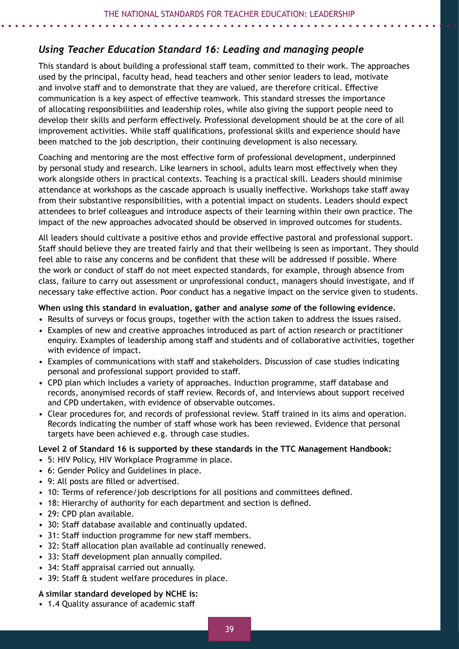# *Using Teacher Education Standard 16: Leading and managing people*

This standard is about building a professional staff team, committed to their work. The approaches used by the principal, faculty head, head teachers and other senior leaders to lead, motivate and involve staff and to demonstrate that they are valued, are therefore critical. Effective communication is a key aspect of effective teamwork. This standard stresses the importance of allocating responsibilities and leadership roles, while also giving the support people need to develop their skills and perform effectively. Professional development should be at the core of all improvement activities. While staff qualifications, professional skills and experience should have been matched to the job description, their continuing development is also necessary.

Coaching and mentoring are the most effective form of professional development, underpinned by personal study and research. Like learners in school, adults learn most effectively when they work alongside others in practical contexts. Teaching is a practical skill. Leaders should minimise attendance at workshops as the cascade approach is usually ineffective. Workshops take staff away from their substantive responsibilities, with a potential impact on students. Leaders should expect attendees to brief colleagues and introduce aspects of their learning within their own practice. The impact of the new approaches advocated should be observed in improved outcomes for students.

All leaders should cultivate a positive ethos and provide effective pastoral and professional support. Staff should believe they are treated fairly and that their wellbeing is seen as important. They should feel able to raise any concerns and be confident that these will be addressed if possible. Where the work or conduct of staff do not meet expected standards, for example, through absence from class, failure to carry out assessment or unprofessional conduct, managers should investigate, and if necessary take effective action. Poor conduct has a negative impact on the service given to students.

#### **When using this standard in evaluation, gather and analyse** *some* **of the following evidence.**

- Results of surveys or focus groups, together with the action taken to address the issues raised.
- Examples of new and creative approaches introduced as part of action research or practitioner enquiry. Examples of leadership among staff and students and of collaborative activities, together with evidence of impact.
- Examples of communications with staff and stakeholders. Discussion of case studies indicating personal and professional support provided to staff.
- CPD plan which includes a variety of approaches. Induction programme, staff database and records, anonymised records of staff review. Records of, and interviews about support received and CPD undertaken, with evidence of observable outcomes.
- Clear procedures for, and records of professional review. Staff trained in its aims and operation. Records indicating the number of staff whose work has been reviewed. Evidence that personal targets have been achieved e.g. through case studies.

#### **Level 2 of Standard 16 is supported by these standards in the TTC Management Handbook:**

- 5: HIV Policy, HIV Workplace Programme in place.
- 6: Gender Policy and Guidelines in place.
- 9: All posts are filled or advertised.
- 10: Terms of reference/job descriptions for all positions and committees defined.
- 18: Hierarchy of authority for each department and section is defined.
- 29: CPD plan available.
- 30: Staff database available and continually updated.
- 31: Staff induction programme for new staff members.
- 32: Staff allocation plan available ad continually renewed.
- 33: Staff development plan annually compiled.
- 34: Staff appraisal carried out annually.
- 39: Staff & student welfare procedures in place.

#### **A similar standard developed by NCHE is:**

• 1.4 Quality assurance of academic staff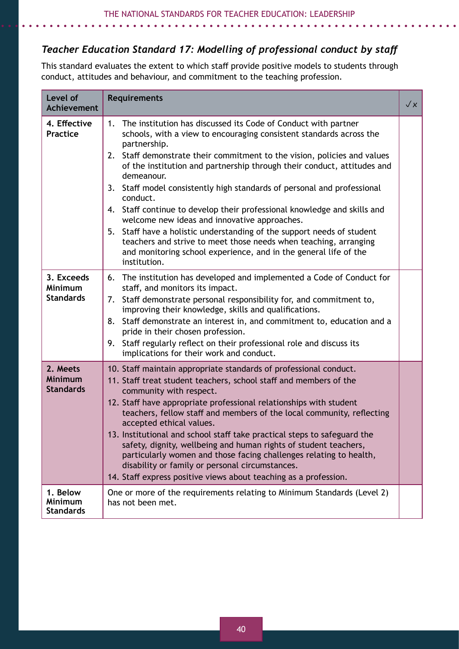# *Teacher Education Standard 17: Modelling of professional conduct by staff*

This standard evaluates the extent to which staff provide positive models to students through conduct, attitudes and behaviour, and commitment to the teaching profession.

| Level of<br><b>Achievement</b>                 | <b>Requirements</b>                                                                                                                                                                                                                                                                                                                                                                                                                                                                                                                                                                                                                                                                                                                                                                         | $\sqrt{x}$ |
|------------------------------------------------|---------------------------------------------------------------------------------------------------------------------------------------------------------------------------------------------------------------------------------------------------------------------------------------------------------------------------------------------------------------------------------------------------------------------------------------------------------------------------------------------------------------------------------------------------------------------------------------------------------------------------------------------------------------------------------------------------------------------------------------------------------------------------------------------|------------|
| 4. Effective<br><b>Practice</b>                | The institution has discussed its Code of Conduct with partner<br>1.<br>schools, with a view to encouraging consistent standards across the<br>partnership.<br>2. Staff demonstrate their commitment to the vision, policies and values<br>of the institution and partnership through their conduct, attitudes and<br>demeanour.<br>Staff model consistently high standards of personal and professional<br>3.<br>conduct.<br>4. Staff continue to develop their professional knowledge and skills and<br>welcome new ideas and innovative approaches.<br>Staff have a holistic understanding of the support needs of student<br>5.<br>teachers and strive to meet those needs when teaching, arranging<br>and monitoring school experience, and in the general life of the<br>institution. |            |
| 3. Exceeds<br>Minimum<br><b>Standards</b>      | The institution has developed and implemented a Code of Conduct for<br>6.<br>staff, and monitors its impact.<br>Staff demonstrate personal responsibility for, and commitment to,<br>7.<br>improving their knowledge, skills and qualifications.<br>8. Staff demonstrate an interest in, and commitment to, education and a<br>pride in their chosen profession.<br>9. Staff regularly reflect on their professional role and discuss its<br>implications for their work and conduct.                                                                                                                                                                                                                                                                                                       |            |
| 2. Meets<br><b>Minimum</b><br><b>Standards</b> | 10. Staff maintain appropriate standards of professional conduct.<br>11. Staff treat student teachers, school staff and members of the<br>community with respect.<br>12. Staff have appropriate professional relationships with student<br>teachers, fellow staff and members of the local community, reflecting<br>accepted ethical values.<br>13. Institutional and school staff take practical steps to safeguard the<br>safety, dignity, wellbeing and human rights of student teachers,<br>particularly women and those facing challenges relating to health,<br>disability or family or personal circumstances.<br>14. Staff express positive views about teaching as a profession.                                                                                                   |            |
| 1. Below<br><b>Minimum</b><br><b>Standards</b> | One or more of the requirements relating to Minimum Standards (Level 2)<br>has not been met.                                                                                                                                                                                                                                                                                                                                                                                                                                                                                                                                                                                                                                                                                                |            |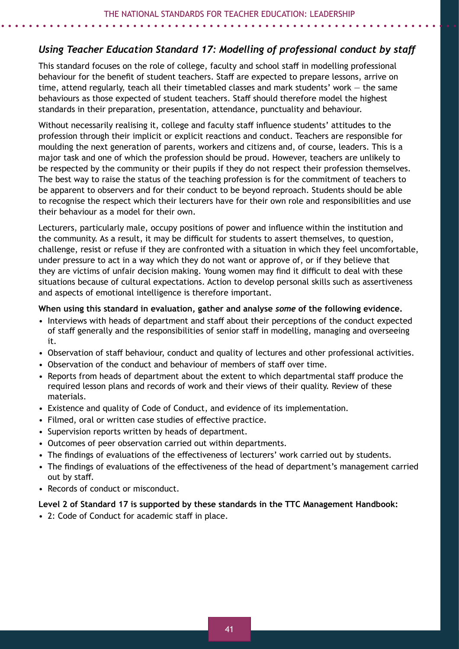# *Using Teacher Education Standard 17: Modelling of professional conduct by staff*

This standard focuses on the role of college, faculty and school staff in modelling professional behaviour for the benefit of student teachers. Staff are expected to prepare lessons, arrive on time, attend regularly, teach all their timetabled classes and mark students' work — the same behaviours as those expected of student teachers. Staff should therefore model the highest standards in their preparation, presentation, attendance, punctuality and behaviour.

Without necessarily realising it, college and faculty staff influence students' attitudes to the profession through their implicit or explicit reactions and conduct. Teachers are responsible for moulding the next generation of parents, workers and citizens and, of course, leaders. This is a major task and one of which the profession should be proud. However, teachers are unlikely to be respected by the community or their pupils if they do not respect their profession themselves. The best way to raise the status of the teaching profession is for the commitment of teachers to be apparent to observers and for their conduct to be beyond reproach. Students should be able to recognise the respect which their lecturers have for their own role and responsibilities and use their behaviour as a model for their own.

Lecturers, particularly male, occupy positions of power and influence within the institution and the community. As a result, it may be difficult for students to assert themselves, to question, challenge, resist or refuse if they are confronted with a situation in which they feel uncomfortable, under pressure to act in a way which they do not want or approve of, or if they believe that they are victims of unfair decision making. Young women may find it difficult to deal with these situations because of cultural expectations. Action to develop personal skills such as assertiveness and aspects of emotional intelligence is therefore important.

#### **When using this standard in evaluation, gather and analyse** *some* **of the following evidence.**

- Interviews with heads of department and staff about their perceptions of the conduct expected of staff generally and the responsibilities of senior staff in modelling, managing and overseeing it.
- Observation of staff behaviour, conduct and quality of lectures and other professional activities.
- Observation of the conduct and behaviour of members of staff over time.
- Reports from heads of department about the extent to which departmental staff produce the required lesson plans and records of work and their views of their quality. Review of these materials.
- Existence and quality of Code of Conduct, and evidence of its implementation.
- Filmed, oral or written case studies of effective practice.
- Supervision reports written by heads of department.
- Outcomes of peer observation carried out within departments.
- The findings of evaluations of the effectiveness of lecturers' work carried out by students.
- The findings of evaluations of the effectiveness of the head of department's management carried out by staff.
- Records of conduct or misconduct.

#### **Level 2 of Standard 17 is supported by these standards in the TTC Management Handbook:**

• 2: Code of Conduct for academic staff in place.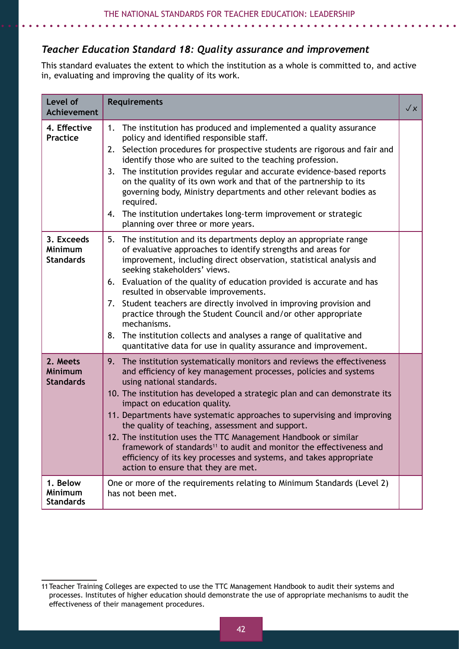# *Teacher Education Standard 18: Quality assurance and improvement*

This standard evaluates the extent to which the institution as a whole is committed to, and active in, evaluating and improving the quality of its work.

| Level of<br><b>Achievement</b>                 | <b>Requirements</b>                                                                                                                                                                                                                                                                                                                                                                                                                                                                                                                                                                                                                                                                       | $\sqrt{x}$ |
|------------------------------------------------|-------------------------------------------------------------------------------------------------------------------------------------------------------------------------------------------------------------------------------------------------------------------------------------------------------------------------------------------------------------------------------------------------------------------------------------------------------------------------------------------------------------------------------------------------------------------------------------------------------------------------------------------------------------------------------------------|------------|
| 4. Effective<br><b>Practice</b>                | The institution has produced and implemented a quality assurance<br>1.<br>policy and identified responsible staff.<br>Selection procedures for prospective students are rigorous and fair and<br>2.<br>identify those who are suited to the teaching profession.<br>The institution provides regular and accurate evidence-based reports<br>3.<br>on the quality of its own work and that of the partnership to its<br>governing body, Ministry departments and other relevant bodies as<br>required.<br>4. The institution undertakes long-term improvement or strategic<br>planning over three or more years.                                                                           |            |
| 3. Exceeds<br>Minimum<br><b>Standards</b>      | 5. The institution and its departments deploy an appropriate range<br>of evaluative approaches to identify strengths and areas for<br>improvement, including direct observation, statistical analysis and<br>seeking stakeholders' views.<br>6. Evaluation of the quality of education provided is accurate and has<br>resulted in observable improvements.<br>Student teachers are directly involved in improving provision and<br>7.<br>practice through the Student Council and/or other appropriate<br>mechanisms.<br>The institution collects and analyses a range of qualitative and<br>8.<br>quantitative data for use in quality assurance and improvement.                       |            |
| 2. Meets<br><b>Minimum</b><br><b>Standards</b> | 9. The institution systematically monitors and reviews the effectiveness<br>and efficiency of key management processes, policies and systems<br>using national standards.<br>10. The institution has developed a strategic plan and can demonstrate its<br>impact on education quality.<br>11. Departments have systematic approaches to supervising and improving<br>the quality of teaching, assessment and support.<br>12. The institution uses the TTC Management Handbook or similar<br>framework of standards <sup>11</sup> to audit and monitor the effectiveness and<br>efficiency of its key processes and systems, and takes appropriate<br>action to ensure that they are met. |            |
| 1. Below<br><b>Minimum</b><br><b>Standards</b> | One or more of the requirements relating to Minimum Standards (Level 2)<br>has not been met.                                                                                                                                                                                                                                                                                                                                                                                                                                                                                                                                                                                              |            |

<sup>11</sup> Teacher Training Colleges are expected to use the TTC Management Handbook to audit their systems and processes. Institutes of higher education should demonstrate the use of appropriate mechanisms to audit the effectiveness of their management procedures.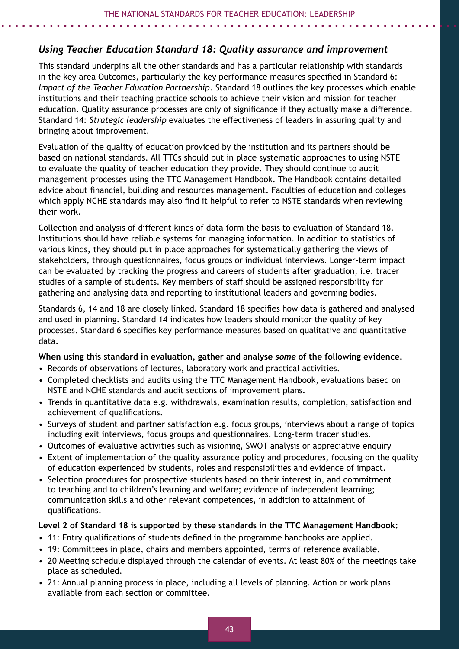# *Using Teacher Education Standard 18: Quality assurance and improvement*

This standard underpins all the other standards and has a particular relationship with standards in the key area Outcomes, particularly the key performance measures specified in Standard 6: *Impact of the Teacher Education Partnership*. Standard 18 outlines the key processes which enable institutions and their teaching practice schools to achieve their vision and mission for teacher education. Quality assurance processes are only of significance if they actually make a difference. Standard 14: *Strategic leadership* evaluates the effectiveness of leaders in assuring quality and bringing about improvement.

Evaluation of the quality of education provided by the institution and its partners should be based on national standards. All TTCs should put in place systematic approaches to using NSTE to evaluate the quality of teacher education they provide. They should continue to audit management processes using the TTC Management Handbook. The Handbook contains detailed advice about financial, building and resources management. Faculties of education and colleges which apply NCHE standards may also find it helpful to refer to NSTE standards when reviewing their work.

Collection and analysis of different kinds of data form the basis to evaluation of Standard 18. Institutions should have reliable systems for managing information. In addition to statistics of various kinds, they should put in place approaches for systematically gathering the views of stakeholders, through questionnaires, focus groups or individual interviews. Longer-term impact can be evaluated by tracking the progress and careers of students after graduation, i.e. tracer studies of a sample of students. Key members of staff should be assigned responsibility for gathering and analysing data and reporting to institutional leaders and governing bodies.

Standards 6, 14 and 18 are closely linked. Standard 18 specifies how data is gathered and analysed and used in planning. Standard 14 indicates how leaders should monitor the quality of key processes. Standard 6 specifies key performance measures based on qualitative and quantitative data.

#### **When using this standard in evaluation, gather and analyse** *some* **of the following evidence.**

- Records of observations of lectures, laboratory work and practical activities.
- Completed checklists and audits using the TTC Management Handbook, evaluations based on NSTE and NCHE standards and audit sections of improvement plans.
- Trends in quantitative data e.g. withdrawals, examination results, completion, satisfaction and achievement of qualifications.
- Surveys of student and partner satisfaction e.g. focus groups, interviews about a range of topics including exit interviews, focus groups and questionnaires. Long-term tracer studies.
- Outcomes of evaluative activities such as visioning, SWOT analysis or appreciative enquiry
- Extent of implementation of the quality assurance policy and procedures, focusing on the quality of education experienced by students, roles and responsibilities and evidence of impact.
- Selection procedures for prospective students based on their interest in, and commitment to teaching and to children's learning and welfare; evidence of independent learning; communication skills and other relevant competences, in addition to attainment of qualifications.

#### **Level 2 of Standard 18 is supported by these standards in the TTC Management Handbook:**

- 11: Entry qualifications of students defined in the programme handbooks are applied.
- 19: Committees in place, chairs and members appointed, terms of reference available.
- 20 Meeting schedule displayed through the calendar of events. At least 80% of the meetings take place as scheduled.
- 21: Annual planning process in place, including all levels of planning. Action or work plans available from each section or committee.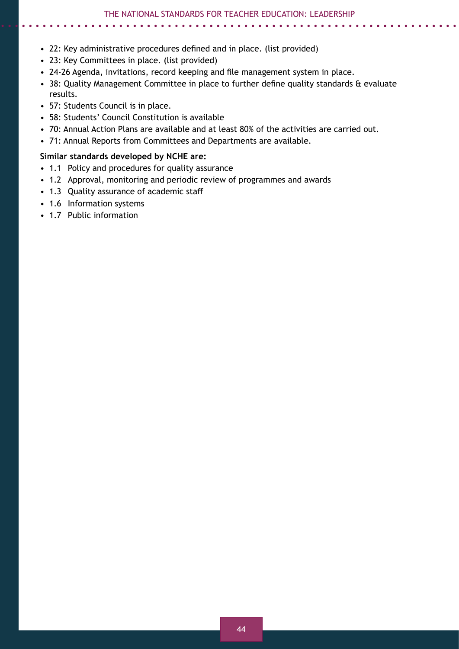#### • 22: Key administrative procedures defined and in place. (list provided)

- 23: Key Committees in place. (list provided)
- 24-26 Agenda, invitations, record keeping and file management system in place.
- 38: Quality Management Committee in place to further define quality standards & evaluate results.
- 57: Students Council is in place.
- 58: Students' Council Constitution is available
- 70: Annual Action Plans are available and at least 80% of the activities are carried out.
- 71: Annual Reports from Committees and Departments are available.

#### **Similar standards developed by NCHE are:**

- 1.1 Policy and procedures for quality assurance
- 1.2 Approval, monitoring and periodic review of programmes and awards
- 1.3 Quality assurance of academic staff
- 1.6 Information systems
- 1.7 Public information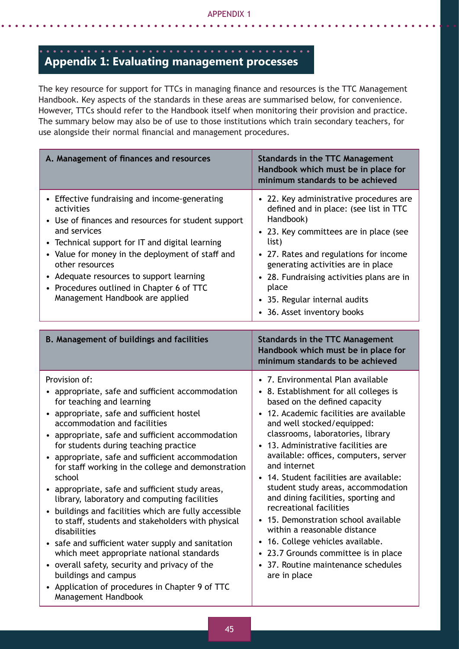# **Appendix 1: Evaluating management processes**

The key resource for support for TTCs in managing finance and resources is the TTC Management Handbook. Key aspects of the standards in these areas are summarised below, for convenience. However, TTCs should refer to the Handbook itself when monitoring their provision and practice. The summary below may also be of use to those institutions which train secondary teachers, for use alongside their normal financial and management procedures.

| A. Management of finances and resources                                                                                                                                                                                                                                                                                                                                                                                                                                                                                                                                                                                                                                                                                                                                                                                                                                            | <b>Standards in the TTC Management</b><br>Handbook which must be in place for<br>minimum standards to be achieved                                                                                                                                                                                                                                                                                                                                                                                                                                                                                                                                                                                                                                         |  |  |
|------------------------------------------------------------------------------------------------------------------------------------------------------------------------------------------------------------------------------------------------------------------------------------------------------------------------------------------------------------------------------------------------------------------------------------------------------------------------------------------------------------------------------------------------------------------------------------------------------------------------------------------------------------------------------------------------------------------------------------------------------------------------------------------------------------------------------------------------------------------------------------|-----------------------------------------------------------------------------------------------------------------------------------------------------------------------------------------------------------------------------------------------------------------------------------------------------------------------------------------------------------------------------------------------------------------------------------------------------------------------------------------------------------------------------------------------------------------------------------------------------------------------------------------------------------------------------------------------------------------------------------------------------------|--|--|
| • Effective fundraising and income-generating<br>activities<br>• Use of finances and resources for student support<br>and services<br>• Technical support for IT and digital learning<br>• Value for money in the deployment of staff and<br>other resources<br>• Adequate resources to support learning<br>• Procedures outlined in Chapter 6 of TTC<br>Management Handbook are applied                                                                                                                                                                                                                                                                                                                                                                                                                                                                                           | • 22. Key administrative procedures are<br>defined and in place: (see list in TTC<br>Handbook)<br>• 23. Key committees are in place (see<br>list)<br>• 27. Rates and regulations for income<br>generating activities are in place<br>28. Fundraising activities plans are in<br>$\bullet$<br>place<br>35. Regular internal audits<br>$\bullet$<br>36. Asset inventory books<br>$\bullet$                                                                                                                                                                                                                                                                                                                                                                  |  |  |
| <b>B. Management of buildings and facilities</b>                                                                                                                                                                                                                                                                                                                                                                                                                                                                                                                                                                                                                                                                                                                                                                                                                                   | <b>Standards in the TTC Management</b><br>Handbook which must be in place for<br>minimum standards to be achieved                                                                                                                                                                                                                                                                                                                                                                                                                                                                                                                                                                                                                                         |  |  |
| Provision of:<br>• appropriate, safe and sufficient accommodation<br>for teaching and learning<br>• appropriate, safe and sufficient hostel<br>accommodation and facilities<br>• appropriate, safe and sufficient accommodation<br>for students during teaching practice<br>• appropriate, safe and sufficient accommodation<br>for staff working in the college and demonstration<br>school<br>• appropriate, safe and sufficient study areas,<br>library, laboratory and computing facilities<br>• buildings and facilities which are fully accessible<br>to staff, students and stakeholders with physical<br>disabilities<br>• safe and sufficient water supply and sanitation<br>which meet appropriate national standards<br>• overall safety, security and privacy of the<br>buildings and campus<br>• Application of procedures in Chapter 9 of TTC<br>Management Handbook | • 7. Environmental Plan available<br>• 8. Establishment for all colleges is<br>based on the defined capacity<br>12. Academic facilities are available<br>$\bullet$<br>and well stocked/equipped:<br>classrooms, laboratories, library<br>13. Administrative facilities are<br>$\bullet$<br>available: offices, computers, server<br>and internet<br>14. Student facilities are available:<br>student study areas, accommodation<br>and dining facilities, sporting and<br>recreational facilities<br>15. Demonstration school available<br>$\bullet$<br>within a reasonable distance<br>16. College vehicles available.<br>$\bullet$<br>23.7 Grounds committee is in place<br>$\bullet$<br>37. Routine maintenance schedules<br>$\bullet$<br>are in place |  |  |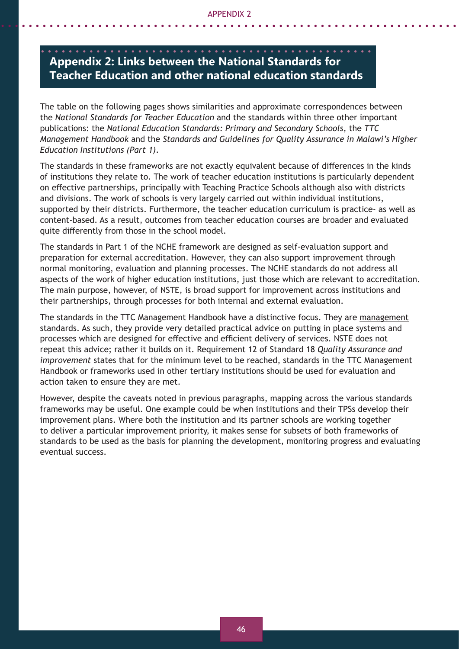# **Appendix 2: Links between the National Standards for Teacher Education and other national education standards**

The table on the following pages shows similarities and approximate correspondences between the *National Standards for Teacher Education* and the standards within three other important publications: the *National Education Standards: Primary and Secondary Schools*, the *TTC Management Handbook* and the *Standards and Guidelines for Quality Assurance in Malawi's Higher Education Institutions (Part 1)*.

The standards in these frameworks are not exactly equivalent because of differences in the kinds of institutions they relate to. The work of teacher education institutions is particularly dependent on effective partnerships, principally with Teaching Practice Schools although also with districts and divisions. The work of schools is very largely carried out within individual institutions, supported by their districts. Furthermore, the teacher education curriculum is practice- as well as content-based. As a result, outcomes from teacher education courses are broader and evaluated quite differently from those in the school model.

The standards in Part 1 of the NCHE framework are designed as self-evaluation support and preparation for external accreditation. However, they can also support improvement through normal monitoring, evaluation and planning processes. The NCHE standards do not address all aspects of the work of higher education institutions, just those which are relevant to accreditation. The main purpose, however, of NSTE, is broad support for improvement across institutions and their partnerships, through processes for both internal and external evaluation.

The standards in the TTC Management Handbook have a distinctive focus. They are management standards. As such, they provide very detailed practical advice on putting in place systems and processes which are designed for effective and efficient delivery of services. NSTE does not repeat this advice; rather it builds on it. Requirement 12 of Standard 18 *Quality Assurance and improvement* states that for the minimum level to be reached, standards in the TTC Management Handbook or frameworks used in other tertiary institutions should be used for evaluation and action taken to ensure they are met.

However, despite the caveats noted in previous paragraphs, mapping across the various standards frameworks may be useful. One example could be when institutions and their TPSs develop their improvement plans. Where both the institution and its partner schools are working together to deliver a particular improvement priority, it makes sense for subsets of both frameworks of standards to be used as the basis for planning the development, monitoring progress and evaluating eventual success.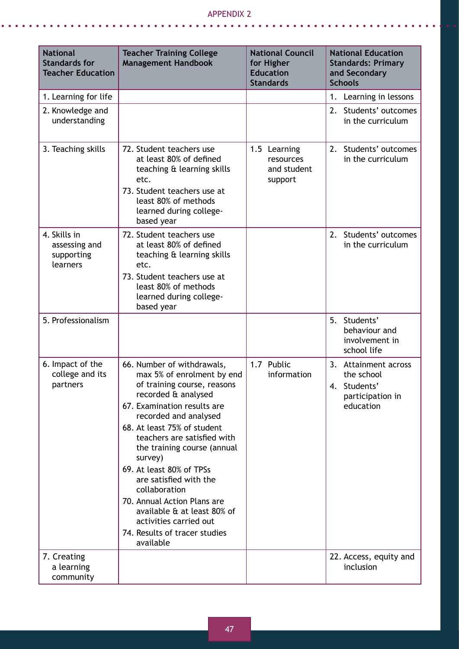. . . . . . . . . . . . . . . . . . .

 $\bullet$  $\sim$   $\bullet$ 

 $\mathbf{A}$   $\mathbf{A}$ 

 $\bullet$ 

 $\bullet$ 

| <b>National</b><br><b>Standards for</b><br><b>Teacher Education</b> | <b>Teacher Training College</b><br><b>Management Handbook</b>                                                                                                                                                                                                                                                                                                                                                                                                                               | <b>National Council</b><br>for Higher<br><b>Education</b><br><b>Standards</b> | <b>National Education</b><br><b>Standards: Primary</b><br>and Secondary<br><b>Schools</b> |
|---------------------------------------------------------------------|---------------------------------------------------------------------------------------------------------------------------------------------------------------------------------------------------------------------------------------------------------------------------------------------------------------------------------------------------------------------------------------------------------------------------------------------------------------------------------------------|-------------------------------------------------------------------------------|-------------------------------------------------------------------------------------------|
| 1. Learning for life                                                |                                                                                                                                                                                                                                                                                                                                                                                                                                                                                             |                                                                               | 1. Learning in lessons                                                                    |
| 2. Knowledge and<br>understanding                                   |                                                                                                                                                                                                                                                                                                                                                                                                                                                                                             |                                                                               | 2. Students' outcomes<br>in the curriculum                                                |
| 3. Teaching skills                                                  | 72. Student teachers use<br>at least 80% of defined<br>teaching & learning skills<br>etc.<br>73. Student teachers use at<br>least 80% of methods<br>learned during college-<br>based year                                                                                                                                                                                                                                                                                                   | 1.5 Learning<br>resources<br>and student<br>support                           | 2. Students' outcomes<br>in the curriculum                                                |
| 4. Skills in<br>assessing and<br>supporting<br>learners             | 72. Student teachers use<br>at least 80% of defined<br>teaching & learning skills<br>etc.<br>73. Student teachers use at<br>least 80% of methods<br>learned during college-<br>based year                                                                                                                                                                                                                                                                                                   |                                                                               | 2.<br>Students' outcomes<br>in the curriculum                                             |
| 5. Professionalism                                                  |                                                                                                                                                                                                                                                                                                                                                                                                                                                                                             |                                                                               | 5. Students'<br>behaviour and<br>involvement in<br>school life                            |
| 6. Impact of the<br>college and its<br>partners                     | 66. Number of withdrawals,<br>max 5% of enrolment by end<br>of training course, reasons<br>recorded & analysed<br>67. Examination results are<br>recorded and analysed<br>68. At least 75% of student<br>teachers are satisfied with<br>the training course (annual<br>survey)<br>69. At least 80% of TPSs<br>are satisfied with the<br>collaboration<br>70. Annual Action Plans are<br>available & at least 80% of<br>activities carried out<br>74. Results of tracer studies<br>available | 1.7 Public<br>information                                                     | 3.<br>Attainment across<br>the school<br>4. Students'<br>participation in<br>education    |
| 7. Creating<br>a learning<br>community                              |                                                                                                                                                                                                                                                                                                                                                                                                                                                                                             |                                                                               | 22. Access, equity and<br>inclusion                                                       |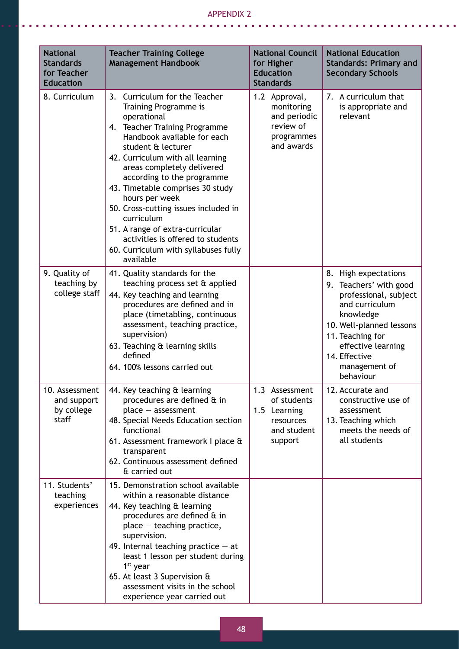#### Appendix 2

 $\bullet$   $\bullet$ 

. . . . . . . . . . .

 $\bullet$ 

| <b>National</b><br><b>Standards</b><br>for Teacher<br><b>Education</b> | <b>Teacher Training College</b><br><b>Management Handbook</b>                                                                                                                                                                                                                                                                                                                                                                                                                                           | <b>National Council</b><br>for Higher<br><b>Education</b><br><b>Standards</b>        | <b>National Education</b><br><b>Standards: Primary and</b><br><b>Secondary Schools</b>                                                                                                                                      |
|------------------------------------------------------------------------|---------------------------------------------------------------------------------------------------------------------------------------------------------------------------------------------------------------------------------------------------------------------------------------------------------------------------------------------------------------------------------------------------------------------------------------------------------------------------------------------------------|--------------------------------------------------------------------------------------|-----------------------------------------------------------------------------------------------------------------------------------------------------------------------------------------------------------------------------|
| 8. Curriculum                                                          | Curriculum for the Teacher<br>3.<br>Training Programme is<br>operational<br>4. Teacher Training Programme<br>Handbook available for each<br>student & lecturer<br>42. Curriculum with all learning<br>areas completely delivered<br>according to the programme<br>43. Timetable comprises 30 study<br>hours per week<br>50. Cross-cutting issues included in<br>curriculum<br>51. A range of extra-curricular<br>activities is offered to students<br>60. Curriculum with syllabuses fully<br>available | 1.2 Approval,<br>monitoring<br>and periodic<br>review of<br>programmes<br>and awards | 7. A curriculum that<br>is appropriate and<br>relevant                                                                                                                                                                      |
| 9. Quality of<br>teaching by<br>college staff                          | 41. Quality standards for the<br>teaching process set & applied<br>44. Key teaching and learning<br>procedures are defined and in<br>place (timetabling, continuous<br>assessment, teaching practice,<br>supervision)<br>63. Teaching & learning skills<br>defined<br>64. 100% lessons carried out                                                                                                                                                                                                      |                                                                                      | 8. High expectations<br>9. Teachers' with good<br>professional, subject<br>and curriculum<br>knowledge<br>10. Well-planned lessons<br>11. Teaching for<br>effective learning<br>14. Effective<br>management of<br>behaviour |
| 10. Assessment<br>and support<br>by college<br>staff                   | 44. Key teaching & learning<br>procedures are defined & in<br>$place - assessment$<br>48. Special Needs Education section<br>functional<br>61. Assessment framework I place &<br>transparent<br>62. Continuous assessment defined<br>& carried out                                                                                                                                                                                                                                                      | 1.3 Assessment<br>of students<br>1.5 Learning<br>resources<br>and student<br>support | 12. Accurate and<br>constructive use of<br>assessment<br>13. Teaching which<br>meets the needs of<br>all students                                                                                                           |
| 11. Students'<br>teaching<br>experiences                               | 15. Demonstration school available<br>within a reasonable distance<br>44. Key teaching & learning<br>procedures are defined & in<br>place - teaching practice,<br>supervision.<br>49. Internal teaching practice $-$ at<br>least 1 lesson per student during<br>$1st$ year<br>65. At least 3 Supervision &<br>assessment visits in the school<br>experience year carried out                                                                                                                            |                                                                                      |                                                                                                                                                                                                                             |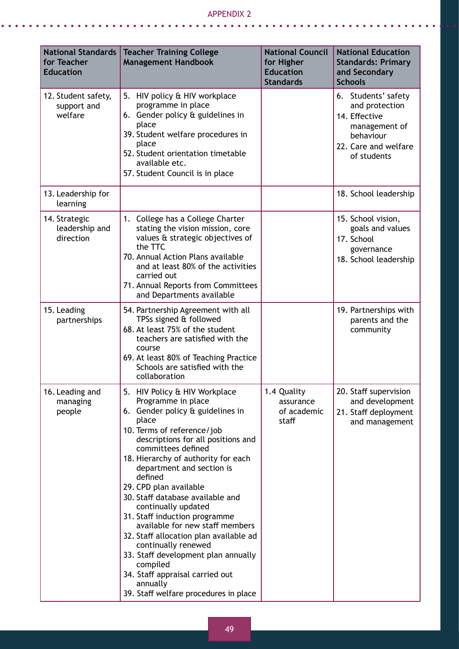#### Appendix 2  $\mathbb{Z}^2$  $\overline{a}$

 $\mathbf{r}$ 

| <b>National Standards</b><br>for Teacher<br><b>Education</b> | <b>Teacher Training College</b><br><b>Management Handbook</b>                                                                                                                                                                                                                                                                                                                                                                                                                                                                                                                                                                                  | <b>National Council</b><br>for Higher<br><b>Education</b><br><b>Standards</b> | <b>National Education</b><br><b>Standards: Primary</b><br>and Secondary<br><b>Schools</b>                                   |
|--------------------------------------------------------------|------------------------------------------------------------------------------------------------------------------------------------------------------------------------------------------------------------------------------------------------------------------------------------------------------------------------------------------------------------------------------------------------------------------------------------------------------------------------------------------------------------------------------------------------------------------------------------------------------------------------------------------------|-------------------------------------------------------------------------------|-----------------------------------------------------------------------------------------------------------------------------|
| 12. Student safety,<br>support and<br>welfare                | 5. HIV policy & HIV workplace<br>programme in place<br>6. Gender policy & guidelines in<br>place<br>39. Student welfare procedures in<br>place<br>52. Student orientation timetable<br>available etc.<br>57. Student Council is in place                                                                                                                                                                                                                                                                                                                                                                                                       |                                                                               | 6. Students' safety<br>and protection<br>14. Effective<br>management of<br>behaviour<br>22. Care and welfare<br>of students |
| 13. Leadership for<br>learning                               |                                                                                                                                                                                                                                                                                                                                                                                                                                                                                                                                                                                                                                                |                                                                               | 18. School leadership                                                                                                       |
| 14. Strategic<br>leadership and<br>direction                 | 1. College has a College Charter<br>stating the vision mission, core<br>values & strategic objectives of<br>the TTC<br>70. Annual Action Plans available<br>and at least 80% of the activities<br>carried out<br>71. Annual Reports from Committees<br>and Departments available                                                                                                                                                                                                                                                                                                                                                               |                                                                               | 15. School vision,<br>goals and values<br>17. School<br>governance<br>18. School leadership                                 |
| 15. Leading<br>partnerships                                  | 54. Partnership Agreement with all<br>TPSs signed & followed<br>68. At least 75% of the student<br>teachers are satisfied with the<br>course<br>69. At least 80% of Teaching Practice<br>Schools are satisfied with the<br>collaboration                                                                                                                                                                                                                                                                                                                                                                                                       |                                                                               | 19. Partnerships with<br>parents and the<br>community                                                                       |
| 16. Leading and<br>managing<br>people                        | 5. HIV Policy & HIV Workplace<br>Programme in place<br>6. Gender policy & guidelines in<br>place<br>10. Terms of reference/job<br>descriptions for all positions and<br>committees defined<br>18. Hierarchy of authority for each<br>department and section is<br>defined<br>29. CPD plan available<br>30. Staff database available and<br>continually updated<br>31. Staff induction programme<br>available for new staff members<br>32. Staff allocation plan available ad<br>continually renewed<br>33. Staff development plan annually<br>compiled<br>34. Staff appraisal carried out<br>annually<br>39. Staff welfare procedures in place | 1.4 Quality<br>assurance<br>of academic<br>staff                              | 20. Staff supervision<br>and development<br>21. Staff deployment<br>and management                                          |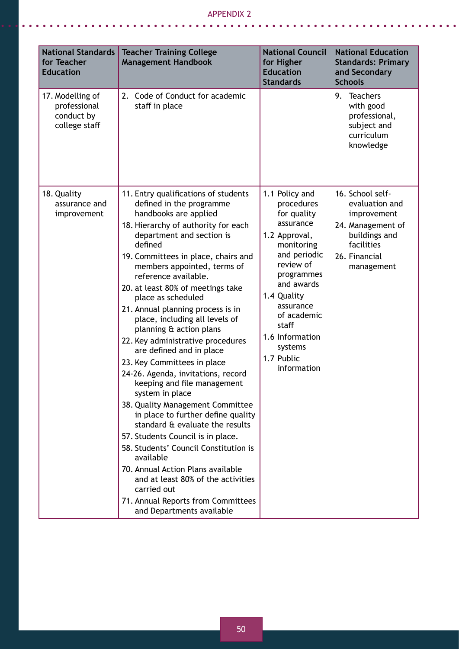#### Appendix 2

. . . . . . . . . . . . . .

 $\bullet$  $\bullet$ 

| <b>National Standards</b><br>for Teacher<br><b>Education</b>    | <b>Teacher Training College</b><br><b>Management Handbook</b>                                                                                                                                                                                                                                                                                                                                                                                                                                                                                                                                                                                                                                                                                                                                                                                                                                                                                                                                    | <b>National Council</b><br>for Higher<br><b>Education</b><br><b>Standards</b>                                                                                                                                                                                   | <b>National Education</b><br><b>Standards: Primary</b><br>and Secondary<br><b>Schools</b>                                            |
|-----------------------------------------------------------------|--------------------------------------------------------------------------------------------------------------------------------------------------------------------------------------------------------------------------------------------------------------------------------------------------------------------------------------------------------------------------------------------------------------------------------------------------------------------------------------------------------------------------------------------------------------------------------------------------------------------------------------------------------------------------------------------------------------------------------------------------------------------------------------------------------------------------------------------------------------------------------------------------------------------------------------------------------------------------------------------------|-----------------------------------------------------------------------------------------------------------------------------------------------------------------------------------------------------------------------------------------------------------------|--------------------------------------------------------------------------------------------------------------------------------------|
| 17. Modelling of<br>professional<br>conduct by<br>college staff | Code of Conduct for academic<br>2.<br>staff in place                                                                                                                                                                                                                                                                                                                                                                                                                                                                                                                                                                                                                                                                                                                                                                                                                                                                                                                                             |                                                                                                                                                                                                                                                                 | 9.<br>Teachers<br>with good<br>professional,<br>subject and<br>curriculum<br>knowledge                                               |
| 18. Quality<br>assurance and<br>improvement                     | 11. Entry qualifications of students<br>defined in the programme<br>handbooks are applied<br>18. Hierarchy of authority for each<br>department and section is<br>defined<br>19. Committees in place, chairs and<br>members appointed, terms of<br>reference available.<br>20. at least 80% of meetings take<br>place as scheduled<br>21. Annual planning process is in<br>place, including all levels of<br>planning & action plans<br>22. Key administrative procedures<br>are defined and in place<br>23. Key Committees in place<br>24-26. Agenda, invitations, record<br>keeping and file management<br>system in place<br>38. Quality Management Committee<br>in place to further define quality<br>standard & evaluate the results<br>57. Students Council is in place.<br>58. Students' Council Constitution is<br>available<br>70. Annual Action Plans available<br>and at least 80% of the activities<br>carried out<br>71. Annual Reports from Committees<br>and Departments available | 1.1 Policy and<br>procedures<br>for quality<br>assurance<br>1.2 Approval,<br>monitoring<br>and periodic<br>review of<br>programmes<br>and awards<br>1.4 Quality<br>assurance<br>of academic<br>staff<br>1.6 Information<br>systems<br>1.7 Public<br>information | 16. School self-<br>evaluation and<br>improvement<br>24. Management of<br>buildings and<br>facilities<br>26. Financial<br>management |